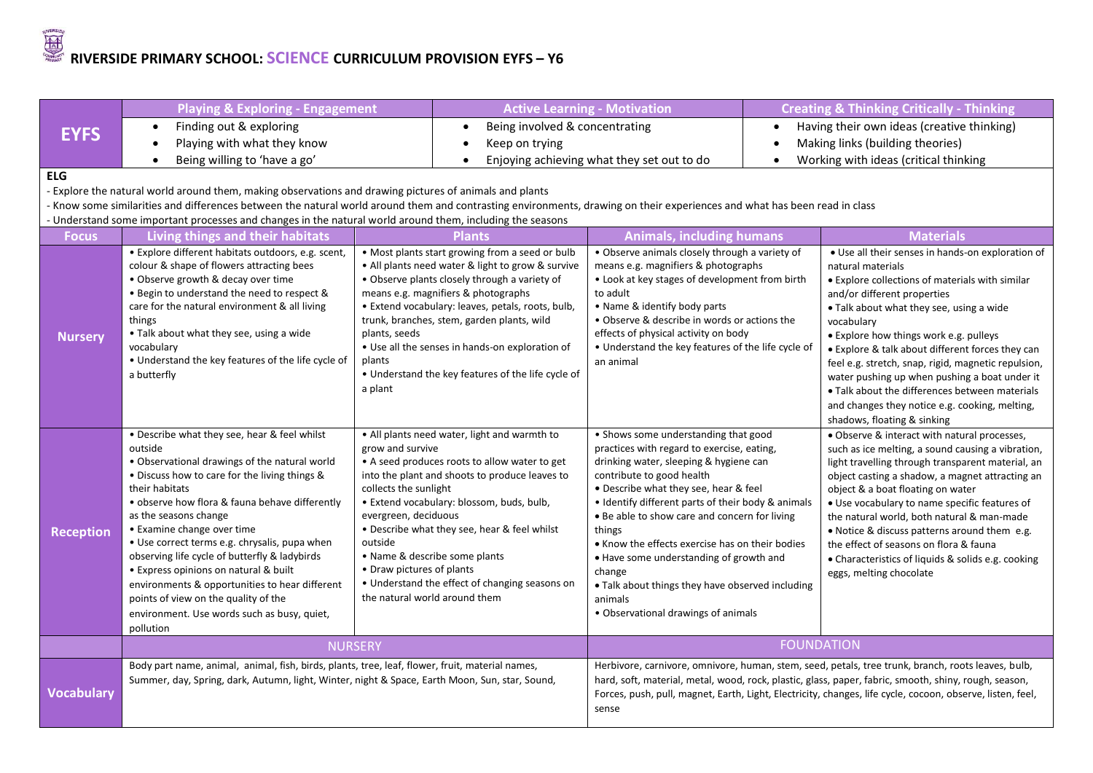# **RIVERSIDE PRIMARY SCHOOL: <u>SCIENCE</u> CURRICULUM PROVISION EYFS – Y6**

|                   | <b>Playing &amp; Exploring - Engagement</b>                                                                                                                                                                                                                                                                                                                                                                                                                                                                                                                                           |                                                                                                           | <b>Active Learning - Motivation</b>                                                                                                                                                                                                                                                                                                                                                                      |                                                                                                                                                                                                                                                                                                                                                                                                                                                                                                                                   | <b>Creating &amp; Thinking Critically - Thinking</b> |                                                                                                                                                                                                                                                                                                                                                                                                                                                                                                                                                             |
|-------------------|---------------------------------------------------------------------------------------------------------------------------------------------------------------------------------------------------------------------------------------------------------------------------------------------------------------------------------------------------------------------------------------------------------------------------------------------------------------------------------------------------------------------------------------------------------------------------------------|-----------------------------------------------------------------------------------------------------------|----------------------------------------------------------------------------------------------------------------------------------------------------------------------------------------------------------------------------------------------------------------------------------------------------------------------------------------------------------------------------------------------------------|-----------------------------------------------------------------------------------------------------------------------------------------------------------------------------------------------------------------------------------------------------------------------------------------------------------------------------------------------------------------------------------------------------------------------------------------------------------------------------------------------------------------------------------|------------------------------------------------------|-------------------------------------------------------------------------------------------------------------------------------------------------------------------------------------------------------------------------------------------------------------------------------------------------------------------------------------------------------------------------------------------------------------------------------------------------------------------------------------------------------------------------------------------------------------|
| <b>EYFS</b>       | Finding out & exploring<br>$\bullet$                                                                                                                                                                                                                                                                                                                                                                                                                                                                                                                                                  |                                                                                                           | Being involved & concentrating<br>$\bullet$                                                                                                                                                                                                                                                                                                                                                              |                                                                                                                                                                                                                                                                                                                                                                                                                                                                                                                                   |                                                      | Having their own ideas (creative thinking)                                                                                                                                                                                                                                                                                                                                                                                                                                                                                                                  |
|                   | Playing with what they know                                                                                                                                                                                                                                                                                                                                                                                                                                                                                                                                                           |                                                                                                           | Keep on trying<br>$\bullet$                                                                                                                                                                                                                                                                                                                                                                              |                                                                                                                                                                                                                                                                                                                                                                                                                                                                                                                                   |                                                      | Making links (building theories)                                                                                                                                                                                                                                                                                                                                                                                                                                                                                                                            |
|                   | Being willing to 'have a go'<br>$\bullet$                                                                                                                                                                                                                                                                                                                                                                                                                                                                                                                                             |                                                                                                           |                                                                                                                                                                                                                                                                                                                                                                                                          | Enjoying achieving what they set out to do                                                                                                                                                                                                                                                                                                                                                                                                                                                                                        |                                                      | Working with ideas (critical thinking                                                                                                                                                                                                                                                                                                                                                                                                                                                                                                                       |
| <b>ELG</b>        |                                                                                                                                                                                                                                                                                                                                                                                                                                                                                                                                                                                       |                                                                                                           |                                                                                                                                                                                                                                                                                                                                                                                                          |                                                                                                                                                                                                                                                                                                                                                                                                                                                                                                                                   |                                                      |                                                                                                                                                                                                                                                                                                                                                                                                                                                                                                                                                             |
|                   | - Explore the natural world around them, making observations and drawing pictures of animals and plants                                                                                                                                                                                                                                                                                                                                                                                                                                                                               |                                                                                                           |                                                                                                                                                                                                                                                                                                                                                                                                          |                                                                                                                                                                                                                                                                                                                                                                                                                                                                                                                                   |                                                      |                                                                                                                                                                                                                                                                                                                                                                                                                                                                                                                                                             |
|                   | - Know some similarities and differences between the natural world around them and contrasting environments, drawing on their experiences and what has been read in class                                                                                                                                                                                                                                                                                                                                                                                                             |                                                                                                           |                                                                                                                                                                                                                                                                                                                                                                                                          |                                                                                                                                                                                                                                                                                                                                                                                                                                                                                                                                   |                                                      |                                                                                                                                                                                                                                                                                                                                                                                                                                                                                                                                                             |
|                   | - Understand some important processes and changes in the natural world around them, including the seasons                                                                                                                                                                                                                                                                                                                                                                                                                                                                             |                                                                                                           |                                                                                                                                                                                                                                                                                                                                                                                                          |                                                                                                                                                                                                                                                                                                                                                                                                                                                                                                                                   |                                                      |                                                                                                                                                                                                                                                                                                                                                                                                                                                                                                                                                             |
| <b>Focus</b>      | Living things and their habitats                                                                                                                                                                                                                                                                                                                                                                                                                                                                                                                                                      |                                                                                                           | <b>Plants</b>                                                                                                                                                                                                                                                                                                                                                                                            | <b>Animals, including humans</b>                                                                                                                                                                                                                                                                                                                                                                                                                                                                                                  |                                                      | <b>Materials</b>                                                                                                                                                                                                                                                                                                                                                                                                                                                                                                                                            |
| <b>Nursery</b>    | · Explore different habitats outdoors, e.g. scent,<br>colour & shape of flowers attracting bees<br>• Observe growth & decay over time<br>• Begin to understand the need to respect &<br>care for the natural environment & all living<br>things<br>• Talk about what they see, using a wide<br>vocabulary<br>• Understand the key features of the life cycle of<br>a butterfly                                                                                                                                                                                                        | plants, seeds<br>plants<br>a plant                                                                        | . Most plants start growing from a seed or bulb<br>• All plants need water & light to grow & survive<br>• Observe plants closely through a variety of<br>means e.g. magnifiers & photographs<br>• Extend vocabulary: leaves, petals, roots, bulb,<br>trunk, branches, stem, garden plants, wild<br>• Use all the senses in hands-on exploration of<br>• Understand the key features of the life cycle of | • Observe animals closely through a variety of<br>means e.g. magnifiers & photographs<br>• Look at key stages of development from birth<br>to adult<br>• Name & identify body parts<br>• Observe & describe in words or actions the<br>effects of physical activity on body<br>• Understand the key features of the life cycle of<br>an animal                                                                                                                                                                                    |                                                      | • Use all their senses in hands-on exploration of<br>natural materials<br>• Explore collections of materials with similar<br>and/or different properties<br>. Talk about what they see, using a wide<br>vocabulary<br>• Explore how things work e.g. pulleys<br>• Explore & talk about different forces they can<br>feel e.g. stretch, snap, rigid, magnetic repulsion,<br>water pushing up when pushing a boat under it<br>• Talk about the differences between materials<br>and changes they notice e.g. cooking, melting,<br>shadows, floating & sinking |
| <b>Reception</b>  | • Describe what they see, hear & feel whilst<br>outside<br>• Observational drawings of the natural world<br>• Discuss how to care for the living things &<br>their habitats<br>• observe how flora & fauna behave differently<br>as the seasons change<br>• Examine change over time<br>• Use correct terms e.g. chrysalis, pupa when<br>observing life cycle of butterfly & ladybirds<br>• Express opinions on natural & built<br>environments & opportunities to hear different<br>points of view on the quality of the<br>environment. Use words such as busy, quiet,<br>pollution | grow and survive<br>collects the sunlight<br>evergreen, deciduous<br>outside<br>• Draw pictures of plants | • All plants need water, light and warmth to<br>• A seed produces roots to allow water to get<br>into the plant and shoots to produce leaves to<br>· Extend vocabulary: blossom, buds, bulb,<br>• Describe what they see, hear & feel whilst<br>• Name & describe some plants<br>• Understand the effect of changing seasons on<br>the natural world around them                                         | • Shows some understanding that good<br>practices with regard to exercise, eating,<br>drinking water, sleeping & hygiene can<br>contribute to good health<br>• Describe what they see, hear & feel<br>• Identify different parts of their body & animals<br>. Be able to show care and concern for living<br>things<br>• Know the effects exercise has on their bodies<br>. Have some understanding of growth and<br>change<br>. Talk about things they have observed including<br>animals<br>· Observational drawings of animals |                                                      | • Observe & interact with natural processes,<br>such as ice melting, a sound causing a vibration,<br>light travelling through transparent material, an<br>object casting a shadow, a magnet attracting an<br>object & a boat floating on water<br>• Use vocabulary to name specific features of<br>the natural world, both natural & man-made<br>• Notice & discuss patterns around them e.g.<br>the effect of seasons on flora & fauna<br>• Characteristics of liquids & solids e.g. cooking<br>eggs, melting chocolate                                    |
|                   | <b>NURSERY</b>                                                                                                                                                                                                                                                                                                                                                                                                                                                                                                                                                                        |                                                                                                           |                                                                                                                                                                                                                                                                                                                                                                                                          |                                                                                                                                                                                                                                                                                                                                                                                                                                                                                                                                   |                                                      | <b>FOUNDATION</b>                                                                                                                                                                                                                                                                                                                                                                                                                                                                                                                                           |
| <b>Vocabulary</b> | Body part name, animal, animal, fish, birds, plants, tree, leaf, flower, fruit, material names,<br>Summer, day, Spring, dark, Autumn, light, Winter, night & Space, Earth Moon, Sun, star, Sound,                                                                                                                                                                                                                                                                                                                                                                                     |                                                                                                           |                                                                                                                                                                                                                                                                                                                                                                                                          | sense                                                                                                                                                                                                                                                                                                                                                                                                                                                                                                                             |                                                      | Herbivore, carnivore, omnivore, human, stem, seed, petals, tree trunk, branch, roots leaves, bulb,<br>hard, soft, material, metal, wood, rock, plastic, glass, paper, fabric, smooth, shiny, rough, season,<br>Forces, push, pull, magnet, Earth, Light, Electricity, changes, life cycle, cocoon, observe, listen, feel,                                                                                                                                                                                                                                   |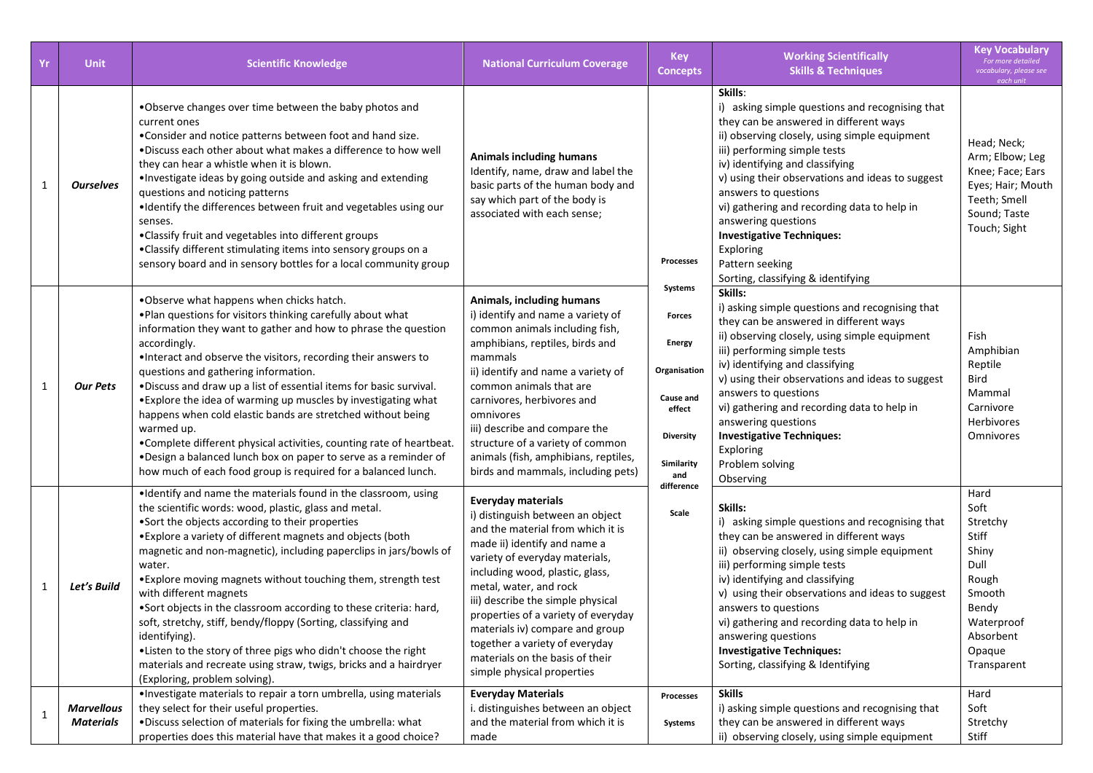| Yr           | <b>Unit</b>                           | <b>Scientific Knowledge</b>                                                                                                                                                                                                                                                                                                                                                                                                                                                                                                                                                                                                                                                                                                                         | <b>National Curriculum Coverage</b>                                                                                                                                                                                                                                                                                                                                                                                                                 | <b>Key</b><br><b>Concepts</b>                                                                                      | <b>Working Scientifically</b><br><b>Skills &amp; Techniques</b>                                                                                                                                                                                                                                                                                                                                                                                                                      | <b>Key Vocabulary</b><br>For more detailed<br>vocabulary, please see<br>each unit                                                  |
|--------------|---------------------------------------|-----------------------------------------------------------------------------------------------------------------------------------------------------------------------------------------------------------------------------------------------------------------------------------------------------------------------------------------------------------------------------------------------------------------------------------------------------------------------------------------------------------------------------------------------------------------------------------------------------------------------------------------------------------------------------------------------------------------------------------------------------|-----------------------------------------------------------------------------------------------------------------------------------------------------------------------------------------------------------------------------------------------------------------------------------------------------------------------------------------------------------------------------------------------------------------------------------------------------|--------------------------------------------------------------------------------------------------------------------|--------------------------------------------------------------------------------------------------------------------------------------------------------------------------------------------------------------------------------------------------------------------------------------------------------------------------------------------------------------------------------------------------------------------------------------------------------------------------------------|------------------------------------------------------------------------------------------------------------------------------------|
| $\mathbf{1}$ | <b>Ourselves</b>                      | . Observe changes over time between the baby photos and<br>current ones<br>. Consider and notice patterns between foot and hand size.<br>. Discuss each other about what makes a difference to how well<br>they can hear a whistle when it is blown.<br>. Investigate ideas by going outside and asking and extending<br>questions and noticing patterns<br>. Identify the differences between fruit and vegetables using our<br>senses.<br>. Classify fruit and vegetables into different groups<br>•Classify different stimulating items into sensory groups on a<br>sensory board and in sensory bottles for a local community group                                                                                                             | <b>Animals including humans</b><br>Identify, name, draw and label the<br>basic parts of the human body and<br>say which part of the body is<br>associated with each sense;                                                                                                                                                                                                                                                                          | <b>Processes</b>                                                                                                   | Skills:<br>i) asking simple questions and recognising that<br>they can be answered in different ways<br>ii) observing closely, using simple equipment<br>iii) performing simple tests<br>iv) identifying and classifying<br>v) using their observations and ideas to suggest<br>answers to questions<br>vi) gathering and recording data to help in<br>answering questions<br><b>Investigative Techniques:</b><br>Exploring<br>Pattern seeking<br>Sorting, classifying & identifying | Head; Neck;<br>Arm; Elbow; Leg<br>Knee; Face; Ears<br>Eyes; Hair; Mouth<br>Teeth; Smell<br>Sound; Taste<br>Touch; Sight            |
| $\mathbf{1}$ | <b>Our Pets</b>                       | . Observe what happens when chicks hatch.<br>. Plan questions for visitors thinking carefully about what<br>information they want to gather and how to phrase the question<br>accordingly.<br>. Interact and observe the visitors, recording their answers to<br>questions and gathering information.<br>. Discuss and draw up a list of essential items for basic survival.<br>• Explore the idea of warming up muscles by investigating what<br>happens when cold elastic bands are stretched without being<br>warmed up.<br>•Complete different physical activities, counting rate of heartbeat.<br>. Design a balanced lunch box on paper to serve as a reminder of<br>how much of each food group is required for a balanced lunch.            | Animals, including humans<br>i) identify and name a variety of<br>common animals including fish,<br>amphibians, reptiles, birds and<br>mammals<br>ii) identify and name a variety of<br>common animals that are<br>carnivores, herbivores and<br>omnivores<br>iii) describe and compare the<br>structure of a variety of common<br>animals (fish, amphibians, reptiles,<br>birds and mammals, including pets)                                       | Systems<br>Forces<br><b>Energy</b><br>Organisation<br>Cause and<br>effect<br><b>Diversity</b><br>Similarity<br>and | Skills:<br>i) asking simple questions and recognising that<br>they can be answered in different ways<br>ii) observing closely, using simple equipment<br>iii) performing simple tests<br>iv) identifying and classifying<br>v) using their observations and ideas to suggest<br>answers to questions<br>vi) gathering and recording data to help in<br>answering questions<br><b>Investigative Techniques:</b><br>Exploring<br>Problem solving<br>Observing                          | Fish<br>Amphibian<br>Reptile<br>Bird<br>Mammal<br>Carnivore<br><b>Herbivores</b><br>Omnivores                                      |
| $\mathbf{1}$ | Let's Build                           | . Identify and name the materials found in the classroom, using<br>the scientific words: wood, plastic, glass and metal.<br>•Sort the objects according to their properties<br>• Explore a variety of different magnets and objects (both<br>magnetic and non-magnetic), including paperclips in jars/bowls of<br>water.<br>. Explore moving magnets without touching them, strength test<br>with different magnets<br>. Sort objects in the classroom according to these criteria: hard,<br>soft, stretchy, stiff, bendy/floppy (Sorting, classifying and<br>identifying).<br>.Listen to the story of three pigs who didn't choose the right<br>materials and recreate using straw, twigs, bricks and a hairdryer<br>(Exploring, problem solving). | <b>Everyday materials</b><br>i) distinguish between an object<br>and the material from which it is<br>made ii) identify and name a<br>variety of everyday materials,<br>including wood, plastic, glass,<br>metal, water, and rock<br>iii) describe the simple physical<br>properties of a variety of everyday<br>materials iv) compare and group<br>together a variety of everyday<br>materials on the basis of their<br>simple physical properties | difference<br>Scale                                                                                                | Skills:<br>i) asking simple questions and recognising that<br>they can be answered in different ways<br>ii) observing closely, using simple equipment<br>iii) performing simple tests<br>iv) identifying and classifying<br>v) using their observations and ideas to suggest<br>answers to questions<br>vi) gathering and recording data to help in<br>answering questions<br><b>Investigative Techniques:</b><br>Sorting, classifying & Identifying                                 | Hard<br>Soft<br>Stretchy<br>Stiff<br>Shiny<br>Dull<br>Rough<br>Smooth<br>Bendy<br>Waterproof<br>Absorbent<br>Opaque<br>Transparent |
| $\mathbf{1}$ | <b>Marvellous</b><br><b>Materials</b> | ·Investigate materials to repair a torn umbrella, using materials<br>they select for their useful properties.<br>. Discuss selection of materials for fixing the umbrella: what<br>properties does this material have that makes it a good choice?                                                                                                                                                                                                                                                                                                                                                                                                                                                                                                  | <b>Everyday Materials</b><br>i. distinguishes between an object<br>and the material from which it is<br>made                                                                                                                                                                                                                                                                                                                                        | Processes<br>Systems                                                                                               | <b>Skills</b><br>i) asking simple questions and recognising that<br>they can be answered in different ways<br>ii) observing closely, using simple equipment                                                                                                                                                                                                                                                                                                                          | Hard<br>Soft<br>Stretchy<br>Stiff                                                                                                  |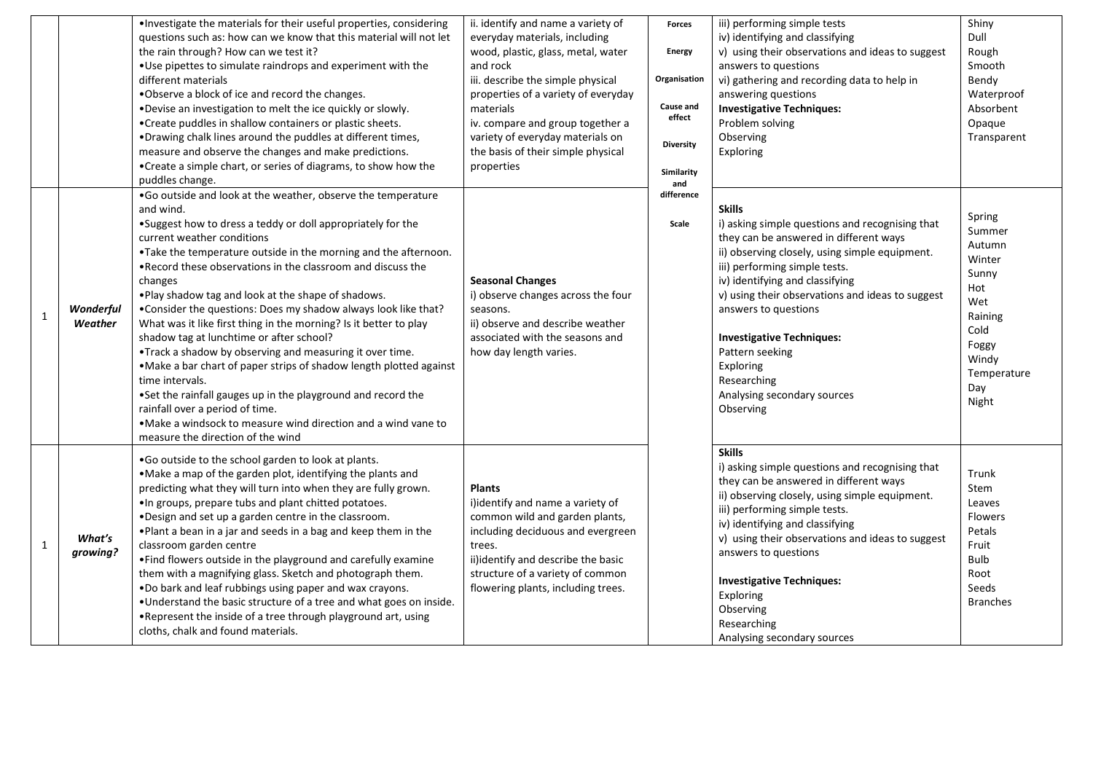|             |                      | . Investigate the materials for their useful properties, considering<br>questions such as: how can we know that this material will not let<br>the rain through? How can we test it?<br>. Use pipettes to simulate raindrops and experiment with the<br>different materials<br>.Observe a block of ice and record the changes.<br>.Devise an investigation to melt the ice quickly or slowly.<br>• Create puddles in shallow containers or plastic sheets.<br>. Drawing chalk lines around the puddles at different times,<br>measure and observe the changes and make predictions.<br>•Create a simple chart, or series of diagrams, to show how the<br>puddles change.                                                                                                                                                                                                                                                        | ii. identify and name a variety of<br>everyday materials, including<br>wood, plastic, glass, metal, water<br>and rock<br>iii. describe the simple physical<br>properties of a variety of everyday<br>materials<br>iv. compare and group together a<br>variety of everyday materials on<br>the basis of their simple physical<br>properties | <b>Forces</b><br><b>Energy</b><br>Organisation<br>Cause and<br>effect<br><b>Diversity</b><br>Similarity<br>and | iii) performing simple tests<br>iv) identifying and classifying<br>v) using their observations and ideas to suggest<br>answers to questions<br>vi) gathering and recording data to help in<br>answering questions<br><b>Investigative Techniques:</b><br>Problem solving<br>Observing<br>Exploring                                                                                                                                          | Shiny<br>Dull<br>Rough<br>Smooth<br>Bendy<br>Waterproof<br>Absorbent<br>Opaque<br>Transparent                                   |
|-------------|----------------------|--------------------------------------------------------------------------------------------------------------------------------------------------------------------------------------------------------------------------------------------------------------------------------------------------------------------------------------------------------------------------------------------------------------------------------------------------------------------------------------------------------------------------------------------------------------------------------------------------------------------------------------------------------------------------------------------------------------------------------------------------------------------------------------------------------------------------------------------------------------------------------------------------------------------------------|--------------------------------------------------------------------------------------------------------------------------------------------------------------------------------------------------------------------------------------------------------------------------------------------------------------------------------------------|----------------------------------------------------------------------------------------------------------------|---------------------------------------------------------------------------------------------------------------------------------------------------------------------------------------------------------------------------------------------------------------------------------------------------------------------------------------------------------------------------------------------------------------------------------------------|---------------------------------------------------------------------------------------------------------------------------------|
| $\mathbf 1$ | Wonderful<br>Weather | .Go outside and look at the weather, observe the temperature<br>and wind.<br>•Suggest how to dress a teddy or doll appropriately for the<br>current weather conditions<br>.Take the temperature outside in the morning and the afternoon.<br>. Record these observations in the classroom and discuss the<br>changes<br>. Play shadow tag and look at the shape of shadows.<br>•Consider the questions: Does my shadow always look like that?<br>What was it like first thing in the morning? Is it better to play<br>shadow tag at lunchtime or after school?<br>.Track a shadow by observing and measuring it over time.<br>. Make a bar chart of paper strips of shadow length plotted against<br>time intervals.<br>.Set the rainfall gauges up in the playground and record the<br>rainfall over a period of time.<br>• Make a windsock to measure wind direction and a wind vane to<br>measure the direction of the wind | <b>Seasonal Changes</b><br>i) observe changes across the four<br>seasons.<br>ii) observe and describe weather<br>associated with the seasons and<br>how day length varies.                                                                                                                                                                 | difference<br>Scale                                                                                            | <b>Skills</b><br>i) asking simple questions and recognising that<br>they can be answered in different ways<br>ii) observing closely, using simple equipment.<br>iii) performing simple tests.<br>iv) identifying and classifying<br>v) using their observations and ideas to suggest<br>answers to questions<br><b>Investigative Techniques:</b><br>Pattern seeking<br>Exploring<br>Researching<br>Analysing secondary sources<br>Observing | Spring<br>Summer<br>Autumn<br>Winter<br>Sunny<br>Hot<br>Wet<br>Raining<br>Cold<br>Foggy<br>Windy<br>Temperature<br>Day<br>Night |
| $\mathbf 1$ | What's<br>growing?   | .Go outside to the school garden to look at plants.<br>. Make a map of the garden plot, identifying the plants and<br>predicting what they will turn into when they are fully grown.<br>. In groups, prepare tubs and plant chitted potatoes.<br>. Design and set up a garden centre in the classroom.<br>. Plant a bean in a jar and seeds in a bag and keep them in the<br>classroom garden centre<br>. Find flowers outside in the playground and carefully examine<br>them with a magnifying glass. Sketch and photograph them.<br>. Do bark and leaf rubbings using paper and wax crayons.<br>. Understand the basic structure of a tree and what goes on inside.<br>. Represent the inside of a tree through playground art, using<br>cloths, chalk and found materials.                                                                                                                                                 | <b>Plants</b><br>i)identify and name a variety of<br>common wild and garden plants,<br>including deciduous and evergreen<br>trees.<br>ii)identify and describe the basic<br>structure of a variety of common<br>flowering plants, including trees.                                                                                         |                                                                                                                | <b>Skills</b><br>i) asking simple questions and recognising that<br>they can be answered in different ways<br>ii) observing closely, using simple equipment.<br>iii) performing simple tests.<br>iv) identifying and classifying<br>v) using their observations and ideas to suggest<br>answers to questions<br><b>Investigative Techniques:</b><br>Exploring<br>Observing<br>Researching<br>Analysing secondary sources                    | Trunk<br>Stem<br>Leaves<br><b>Flowers</b><br>Petals<br>Fruit<br>Bulb<br>Root<br>Seeds<br><b>Branches</b>                        |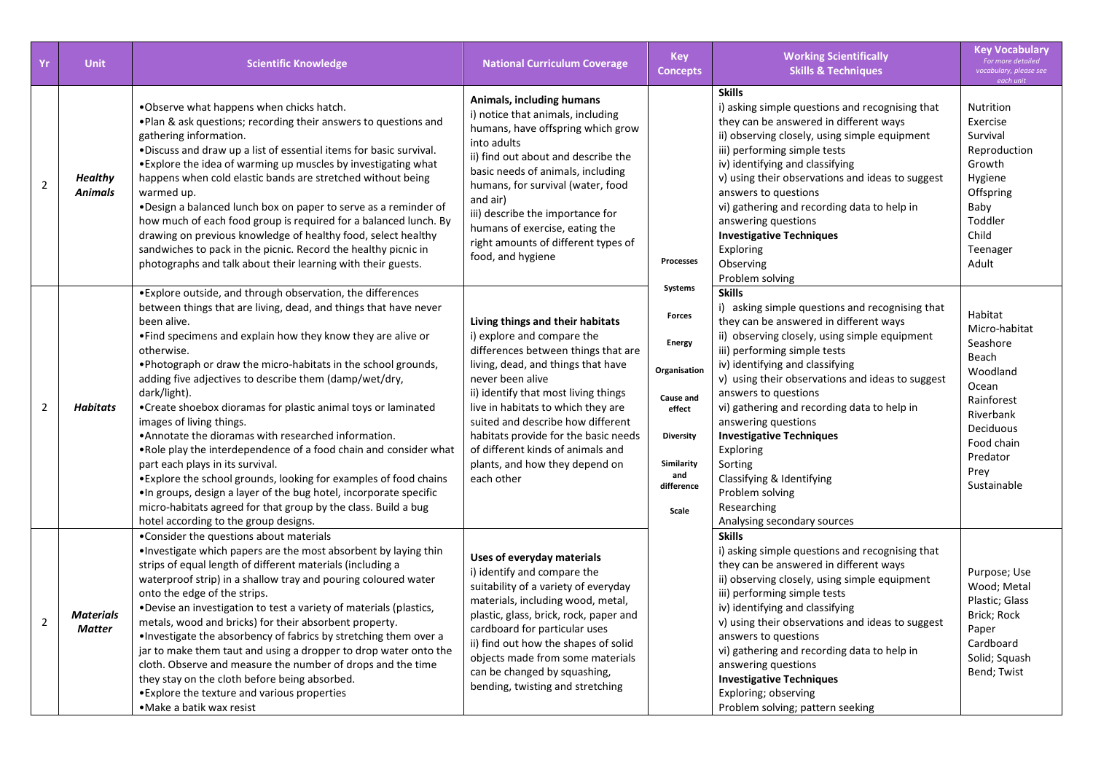| Yr             | <b>Unit</b>                       | <b>Scientific Knowledge</b>                                                                                                                                                                                                                                                                                                                                                                                                                                                                                                                                                                                                                                                                                                                                                                                                                                                                   | <b>National Curriculum Coverage</b>                                                                                                                                                                                                                                                                                                                                                                             | <b>Key</b><br><b>Concepts</b>                                                                                                             | <b>Working Scientifically</b><br><b>Skills &amp; Techniques</b>                                                                                                                                                                                                                                                                                                                                                                                                                                                                           | <b>Key Vocabulary</b><br>For more detailed<br>vocabulary, please see<br>each unit                                                                           |
|----------------|-----------------------------------|-----------------------------------------------------------------------------------------------------------------------------------------------------------------------------------------------------------------------------------------------------------------------------------------------------------------------------------------------------------------------------------------------------------------------------------------------------------------------------------------------------------------------------------------------------------------------------------------------------------------------------------------------------------------------------------------------------------------------------------------------------------------------------------------------------------------------------------------------------------------------------------------------|-----------------------------------------------------------------------------------------------------------------------------------------------------------------------------------------------------------------------------------------------------------------------------------------------------------------------------------------------------------------------------------------------------------------|-------------------------------------------------------------------------------------------------------------------------------------------|-------------------------------------------------------------------------------------------------------------------------------------------------------------------------------------------------------------------------------------------------------------------------------------------------------------------------------------------------------------------------------------------------------------------------------------------------------------------------------------------------------------------------------------------|-------------------------------------------------------------------------------------------------------------------------------------------------------------|
| $\overline{2}$ | <b>Healthy</b><br>Animals         | .Observe what happens when chicks hatch.<br>. Plan & ask questions; recording their answers to questions and<br>gathering information.<br>. Discuss and draw up a list of essential items for basic survival.<br>• Explore the idea of warming up muscles by investigating what<br>happens when cold elastic bands are stretched without being<br>warmed up.<br>. Design a balanced lunch box on paper to serve as a reminder of<br>how much of each food group is required for a balanced lunch. By<br>drawing on previous knowledge of healthy food, select healthy<br>sandwiches to pack in the picnic. Record the healthy picnic in<br>photographs and talk about their learning with their guests.                                                                                                                                                                                       | Animals, including humans<br>i) notice that animals, including<br>humans, have offspring which grow<br>into adults<br>ii) find out about and describe the<br>basic needs of animals, including<br>humans, for survival (water, food<br>and air)<br>iii) describe the importance for<br>humans of exercise, eating the<br>right amounts of different types of<br>food, and hygiene                               | <b>Processes</b>                                                                                                                          | <b>Skills</b><br>i) asking simple questions and recognising that<br>they can be answered in different ways<br>ii) observing closely, using simple equipment<br>iii) performing simple tests<br>iv) identifying and classifying<br>v) using their observations and ideas to suggest<br>answers to questions<br>vi) gathering and recording data to help in<br>answering questions<br><b>Investigative Techniques</b><br>Exploring<br>Observing<br>Problem solving                                                                          | <b>Nutrition</b><br>Exercise<br>Survival<br>Reproduction<br>Growth<br>Hygiene<br>Offspring<br>Baby<br>Toddler<br>Child<br>Teenager<br>Adult                 |
| $\overline{2}$ | Habitats                          | • Explore outside, and through observation, the differences<br>between things that are living, dead, and things that have never<br>been alive.<br>• Find specimens and explain how they know they are alive or<br>otherwise.<br>. Photograph or draw the micro-habitats in the school grounds,<br>adding five adjectives to describe them (damp/wet/dry,<br>dark/light).<br>• Create shoebox dioramas for plastic animal toys or laminated<br>images of living things.<br>• Annotate the dioramas with researched information.<br>• Role play the interdependence of a food chain and consider what<br>part each plays in its survival.<br>• Explore the school grounds, looking for examples of food chains<br>. In groups, design a layer of the bug hotel, incorporate specific<br>micro-habitats agreed for that group by the class. Build a bug<br>hotel according to the group designs. | Living things and their habitats<br>i) explore and compare the<br>differences between things that are<br>living, dead, and things that have<br>never been alive<br>ii) identify that most living things<br>live in habitats to which they are<br>suited and describe how different<br>habitats provide for the basic needs<br>of different kinds of animals and<br>plants, and how they depend on<br>each other | Systems<br>Forces<br><b>Energy</b><br>Organisation<br>Cause and<br>effect<br><b>Diversity</b><br>Similarity<br>and<br>difference<br>Scale | <b>Skills</b><br>i) asking simple questions and recognising that<br>they can be answered in different ways<br>ii) observing closely, using simple equipment<br>iii) performing simple tests<br>iv) identifying and classifying<br>v) using their observations and ideas to suggest<br>answers to questions<br>vi) gathering and recording data to help in<br>answering questions<br><b>Investigative Techniques</b><br>Exploring<br>Sorting<br>Classifying & Identifying<br>Problem solving<br>Researching<br>Analysing secondary sources | Habitat<br>Micro-habitat<br>Seashore<br>Beach<br>Woodland<br>Ocean<br>Rainforest<br>Riverbank<br>Deciduous<br>Food chain<br>Predator<br>Prey<br>Sustainable |
| $\overline{2}$ | <b>Materials</b><br><b>Matter</b> | •Consider the questions about materials<br>. Investigate which papers are the most absorbent by laying thin<br>strips of equal length of different materials (including a<br>waterproof strip) in a shallow tray and pouring coloured water<br>onto the edge of the strips.<br>. Devise an investigation to test a variety of materials (plastics,<br>metals, wood and bricks) for their absorbent property.<br>. Investigate the absorbency of fabrics by stretching them over a<br>jar to make them taut and using a dropper to drop water onto the<br>cloth. Observe and measure the number of drops and the time<br>they stay on the cloth before being absorbed.<br>• Explore the texture and various properties<br>• Make a batik wax resist                                                                                                                                            | Uses of everyday materials<br>i) identify and compare the<br>suitability of a variety of everyday<br>materials, including wood, metal,<br>plastic, glass, brick, rock, paper and<br>cardboard for particular uses<br>ii) find out how the shapes of solid<br>objects made from some materials<br>can be changed by squashing,<br>bending, twisting and stretching                                               |                                                                                                                                           | <b>Skills</b><br>i) asking simple questions and recognising that<br>they can be answered in different ways<br>ii) observing closely, using simple equipment<br>iii) performing simple tests<br>iv) identifying and classifying<br>v) using their observations and ideas to suggest<br>answers to questions<br>vi) gathering and recording data to help in<br>answering questions<br><b>Investigative Techniques</b><br>Exploring; observing<br>Problem solving; pattern seeking                                                           | Purpose; Use<br>Wood; Metal<br>Plastic; Glass<br>Brick; Rock<br>Paper<br>Cardboard<br>Solid; Squash<br>Bend; Twist                                          |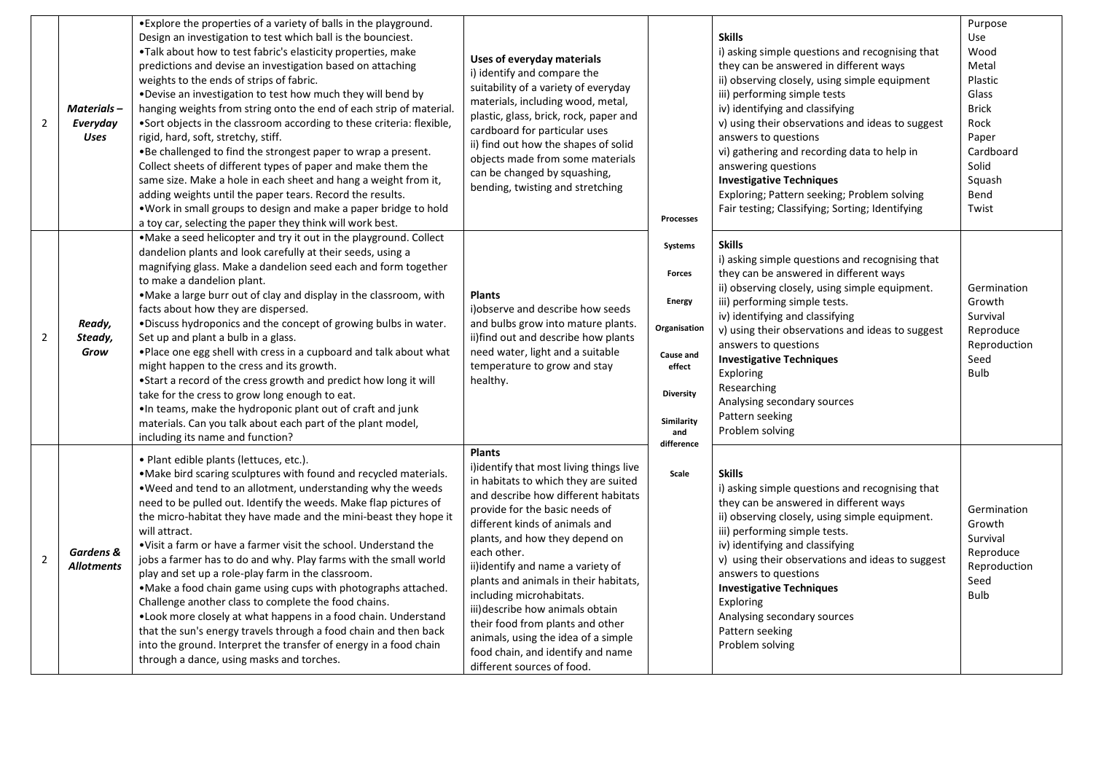| $\mathbf 2$    | Materials-<br>Everyday<br>Uses | • Explore the properties of a variety of balls in the playground.<br>Design an investigation to test which ball is the bounciest.<br>. Talk about how to test fabric's elasticity properties, make<br>predictions and devise an investigation based on attaching<br>weights to the ends of strips of fabric.<br>. Devise an investigation to test how much they will bend by<br>hanging weights from string onto the end of each strip of material.<br>.Sort objects in the classroom according to these criteria: flexible,<br>rigid, hard, soft, stretchy, stiff.<br>.Be challenged to find the strongest paper to wrap a present.<br>Collect sheets of different types of paper and make them the<br>same size. Make a hole in each sheet and hang a weight from it,<br>adding weights until the paper tears. Record the results.<br>. Work in small groups to design and make a paper bridge to hold<br>a toy car, selecting the paper they think will work best. | Uses of everyday materials<br>i) identify and compare the<br>suitability of a variety of everyday<br>materials, including wood, metal,<br>plastic, glass, brick, rock, paper and<br>cardboard for particular uses<br>ii) find out how the shapes of solid<br>objects made from some materials<br>can be changed by squashing,<br>bending, twisting and stretching                                                                                                                                                                                        | <b>Processes</b>                                                                                                                        | <b>Skills</b><br>i) asking simple questions and recognising that<br>they can be answered in different ways<br>ii) observing closely, using simple equipment<br>iii) performing simple tests<br>iv) identifying and classifying<br>v) using their observations and ideas to suggest<br>answers to questions<br>vi) gathering and recording data to help in<br>answering questions<br><b>Investigative Techniques</b><br>Exploring; Pattern seeking; Problem solving<br>Fair testing; Classifying; Sorting; Identifying | Purpose<br>Use<br>Wood<br>Metal<br>Plastic<br>Glass<br>Brick<br>Rock<br>Paper<br>Cardboard<br>Solid<br>Squash<br>Bend<br>Twist |
|----------------|--------------------------------|-----------------------------------------------------------------------------------------------------------------------------------------------------------------------------------------------------------------------------------------------------------------------------------------------------------------------------------------------------------------------------------------------------------------------------------------------------------------------------------------------------------------------------------------------------------------------------------------------------------------------------------------------------------------------------------------------------------------------------------------------------------------------------------------------------------------------------------------------------------------------------------------------------------------------------------------------------------------------|----------------------------------------------------------------------------------------------------------------------------------------------------------------------------------------------------------------------------------------------------------------------------------------------------------------------------------------------------------------------------------------------------------------------------------------------------------------------------------------------------------------------------------------------------------|-----------------------------------------------------------------------------------------------------------------------------------------|-----------------------------------------------------------------------------------------------------------------------------------------------------------------------------------------------------------------------------------------------------------------------------------------------------------------------------------------------------------------------------------------------------------------------------------------------------------------------------------------------------------------------|--------------------------------------------------------------------------------------------------------------------------------|
| $\overline{2}$ | Ready,<br>Steady,<br>Grow      | •Make a seed helicopter and try it out in the playground. Collect<br>dandelion plants and look carefully at their seeds, using a<br>magnifying glass. Make a dandelion seed each and form together<br>to make a dandelion plant.<br>• Make a large burr out of clay and display in the classroom, with<br>facts about how they are dispersed.<br>.Discuss hydroponics and the concept of growing bulbs in water.<br>Set up and plant a bulb in a glass.<br>. Place one egg shell with cress in a cupboard and talk about what<br>might happen to the cress and its growth.<br>•Start a record of the cress growth and predict how long it will<br>take for the cress to grow long enough to eat.<br>. In teams, make the hydroponic plant out of craft and junk<br>materials. Can you talk about each part of the plant model,<br>including its name and function?                                                                                                    | <b>Plants</b><br>i) observe and describe how seeds<br>and bulbs grow into mature plants.<br>ii)find out and describe how plants<br>need water, light and a suitable<br>temperature to grow and stay<br>healthy.                                                                                                                                                                                                                                                                                                                                          | Systems<br><b>Forces</b><br><b>Energy</b><br>Organisation<br>Cause and<br>effect<br><b>Diversity</b><br>Similarity<br>and<br>difference | <b>Skills</b><br>i) asking simple questions and recognising that<br>they can be answered in different ways<br>ii) observing closely, using simple equipment.<br>iii) performing simple tests.<br>iv) identifying and classifying<br>v) using their observations and ideas to suggest<br>answers to questions<br><b>Investigative Techniques</b><br>Exploring<br>Researching<br>Analysing secondary sources<br>Pattern seeking<br>Problem solving                                                                      | Germination<br>Growth<br>Survival<br>Reproduce<br>Reproduction<br>Seed<br>Bulb                                                 |
| $\mathbf 2$    | Gardens &<br><b>Allotments</b> | · Plant edible plants (lettuces, etc.).<br>• Make bird scaring sculptures with found and recycled materials.<br>. Weed and tend to an allotment, understanding why the weeds<br>need to be pulled out. Identify the weeds. Make flap pictures of<br>the micro-habitat they have made and the mini-beast they hope it<br>will attract.<br>•Visit a farm or have a farmer visit the school. Understand the<br>jobs a farmer has to do and why. Play farms with the small world<br>play and set up a role-play farm in the classroom.<br>. Make a food chain game using cups with photographs attached.<br>Challenge another class to complete the food chains.<br>. Look more closely at what happens in a food chain. Understand<br>that the sun's energy travels through a food chain and then back<br>into the ground. Interpret the transfer of energy in a food chain<br>through a dance, using masks and torches.                                                 | <b>Plants</b><br>i)identify that most living things live<br>in habitats to which they are suited<br>and describe how different habitats<br>provide for the basic needs of<br>different kinds of animals and<br>plants, and how they depend on<br>each other.<br>ii)identify and name a variety of<br>plants and animals in their habitats,<br>including microhabitats.<br>iii) describe how animals obtain<br>their food from plants and other<br>animals, using the idea of a simple<br>food chain, and identify and name<br>different sources of food. | Scale                                                                                                                                   | <b>Skills</b><br>i) asking simple questions and recognising that<br>they can be answered in different ways<br>ii) observing closely, using simple equipment.<br>iii) performing simple tests.<br>iv) identifying and classifying<br>v) using their observations and ideas to suggest<br>answers to questions<br><b>Investigative Techniques</b><br>Exploring<br>Analysing secondary sources<br>Pattern seeking<br>Problem solving                                                                                     | Germination<br>Growth<br>Survival<br>Reproduce<br>Reproduction<br>Seed<br>Bulb                                                 |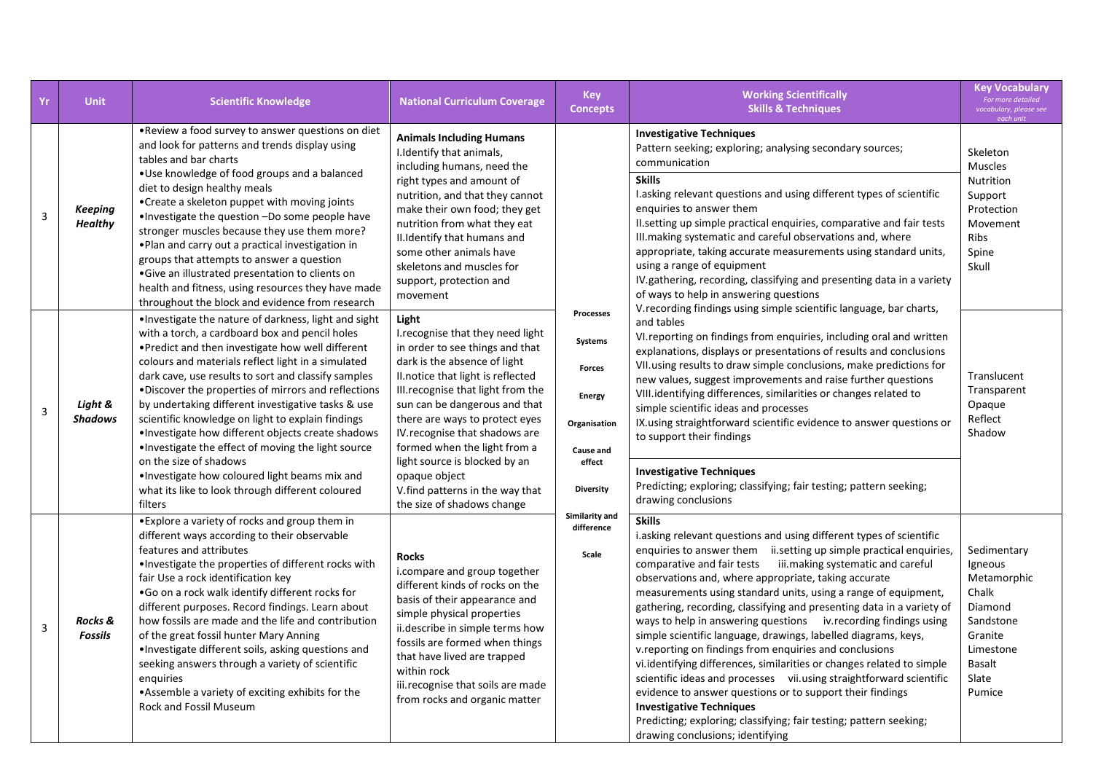| Yr | <b>Unit</b>                      | <b>Scientific Knowledge</b>                                                                                                                                                                                                                                                                                                                                                                                                                                                                                                                                                                                                                                                                         | <b>National Curriculum Coverage</b>                                                                                                                                                                                                                                                                                                                                                                                                             | <b>Key</b><br><b>Concepts</b>                                                                                     | <b>Working Scientifically</b><br><b>Skills &amp; Techniques</b>                                                                                                                                                                                                                                                                                                                                                                                                                                                                                                                                                                                                                                                                                                                                                                                                                                                                                                                         | <b>Key Vocabulary</b><br>For more detailed<br>vocabulary, please see<br>each unit                                           |  |  |                                                                                                                                                                                                                                                                                                                                                                                                                                                                                                                                                                                            |                                                                                                        |
|----|----------------------------------|-----------------------------------------------------------------------------------------------------------------------------------------------------------------------------------------------------------------------------------------------------------------------------------------------------------------------------------------------------------------------------------------------------------------------------------------------------------------------------------------------------------------------------------------------------------------------------------------------------------------------------------------------------------------------------------------------------|-------------------------------------------------------------------------------------------------------------------------------------------------------------------------------------------------------------------------------------------------------------------------------------------------------------------------------------------------------------------------------------------------------------------------------------------------|-------------------------------------------------------------------------------------------------------------------|-----------------------------------------------------------------------------------------------------------------------------------------------------------------------------------------------------------------------------------------------------------------------------------------------------------------------------------------------------------------------------------------------------------------------------------------------------------------------------------------------------------------------------------------------------------------------------------------------------------------------------------------------------------------------------------------------------------------------------------------------------------------------------------------------------------------------------------------------------------------------------------------------------------------------------------------------------------------------------------------|-----------------------------------------------------------------------------------------------------------------------------|--|--|--------------------------------------------------------------------------------------------------------------------------------------------------------------------------------------------------------------------------------------------------------------------------------------------------------------------------------------------------------------------------------------------------------------------------------------------------------------------------------------------------------------------------------------------------------------------------------------------|--------------------------------------------------------------------------------------------------------|
| 3  | <b>Keeping</b><br><b>Healthy</b> | . Review a food survey to answer questions on diet<br>and look for patterns and trends display using<br>tables and bar charts<br>• Use knowledge of food groups and a balanced<br>diet to design healthy meals<br>•Create a skeleton puppet with moving joints<br>. Investigate the question -Do some people have<br>stronger muscles because they use them more?<br>. Plan and carry out a practical investigation in<br>groups that attempts to answer a question<br>•Give an illustrated presentation to clients on<br>health and fitness, using resources they have made<br>throughout the block and evidence from research                                                                     | <b>Animals Including Humans</b><br>I.Identify that animals,<br>including humans, need the<br>right types and amount of<br>nutrition, and that they cannot<br>make their own food; they get<br>nutrition from what they eat<br>II.Identify that humans and<br>some other animals have<br>skeletons and muscles for<br>support, protection and<br>movement                                                                                        | Processes<br>Systems<br><b>Forces</b><br><b>Energy</b><br>Organisation<br>Cause and<br>effect<br><b>Diversity</b> |                                                                                                                                                                                                                                                                                                                                                                                                                                                                                                                                                                                                                                                                                                                                                                                                                                                                                                                                                                                         |                                                                                                                             |  |  | <b>Investigative Techniques</b><br>Pattern seeking; exploring; analysing secondary sources;<br>communication<br><b>Skills</b><br>I.asking relevant questions and using different types of scientific<br>enquiries to answer them<br>II. setting up simple practical enquiries, comparative and fair tests<br>III.making systematic and careful observations and, where<br>appropriate, taking accurate measurements using standard units,<br>using a range of equipment<br>IV.gathering, recording, classifying and presenting data in a variety<br>of ways to help in answering questions | Skeleton<br><b>Muscles</b><br>Nutrition<br>Support<br>Protection<br>Movement<br>Ribs<br>Spine<br>Skull |
| 3  | Light &<br><b>Shadows</b>        | . Investigate the nature of darkness, light and sight<br>with a torch, a cardboard box and pencil holes<br>. Predict and then investigate how well different<br>colours and materials reflect light in a simulated<br>dark cave, use results to sort and classify samples<br>. Discover the properties of mirrors and reflections<br>by undertaking different investigative tasks & use<br>scientific knowledge on light to explain findings<br>·Investigate how different objects create shadows<br>. Investigate the effect of moving the light source<br>on the size of shadows<br>. Investigate how coloured light beams mix and<br>what its like to look through different coloured<br>filters | Light<br>I recognise that they need light<br>in order to see things and that<br>dark is the absence of light<br>II.notice that light is reflected<br>III.recognise that light from the<br>sun can be dangerous and that<br>there are ways to protect eyes<br>IV. recognise that shadows are<br>formed when the light from a<br>light source is blocked by an<br>opaque object<br>V. find patterns in the way that<br>the size of shadows change |                                                                                                                   | V. recording findings using simple scientific language, bar charts,<br>and tables<br>VI. reporting on findings from enquiries, including oral and written<br>explanations, displays or presentations of results and conclusions<br>VII.using results to draw simple conclusions, make predictions for<br>new values, suggest improvements and raise further questions<br>VIII.identifying differences, similarities or changes related to<br>simple scientific ideas and processes<br>IX.using straightforward scientific evidence to answer questions or<br>to support their findings<br><b>Investigative Techniques</b><br>Predicting; exploring; classifying; fair testing; pattern seeking;<br>drawing conclusions                                                                                                                                                                                                                                                                  | Translucent<br>Transparent<br>Opaque<br>Reflect<br>Shadow                                                                   |  |  |                                                                                                                                                                                                                                                                                                                                                                                                                                                                                                                                                                                            |                                                                                                        |
| 3  | Rocks &<br><b>Fossils</b>        | • Explore a variety of rocks and group them in<br>different ways according to their observable<br>features and attributes<br>. Investigate the properties of different rocks with<br>fair Use a rock identification key<br>.Go on a rock walk identify different rocks for<br>different purposes. Record findings. Learn about<br>how fossils are made and the life and contribution<br>of the great fossil hunter Mary Anning<br>. Investigate different soils, asking questions and<br>seeking answers through a variety of scientific<br>enguiries<br>• Assemble a variety of exciting exhibits for the<br><b>Rock and Fossil Museum</b>                                                         | <b>Rocks</b><br>i.compare and group together<br>different kinds of rocks on the<br>basis of their appearance and<br>simple physical properties<br>ii.describe in simple terms how<br>fossils are formed when things<br>that have lived are trapped<br>within rock<br>iii.recognise that soils are made<br>from rocks and organic matter                                                                                                         | Similarity and<br>difference<br>Scale                                                                             | <b>Skills</b><br>i.asking relevant questions and using different types of scientific<br>enquiries to answer them ii.setting up simple practical enquiries,<br>comparative and fair tests iii.making systematic and careful<br>observations and, where appropriate, taking accurate<br>measurements using standard units, using a range of equipment,<br>gathering, recording, classifying and presenting data in a variety of<br>ways to help in answering questions iv. recording findings using<br>simple scientific language, drawings, labelled diagrams, keys,<br>v.reporting on findings from enquiries and conclusions<br>vi.identifying differences, similarities or changes related to simple<br>scientific ideas and processes vii.using straightforward scientific<br>evidence to answer questions or to support their findings<br><b>Investigative Techniques</b><br>Predicting; exploring; classifying; fair testing; pattern seeking;<br>drawing conclusions; identifying | Sedimentary<br>Igneous<br>Metamorphic<br>Chalk<br>Diamond<br>Sandstone<br>Granite<br>Limestone<br>Basalt<br>Slate<br>Pumice |  |  |                                                                                                                                                                                                                                                                                                                                                                                                                                                                                                                                                                                            |                                                                                                        |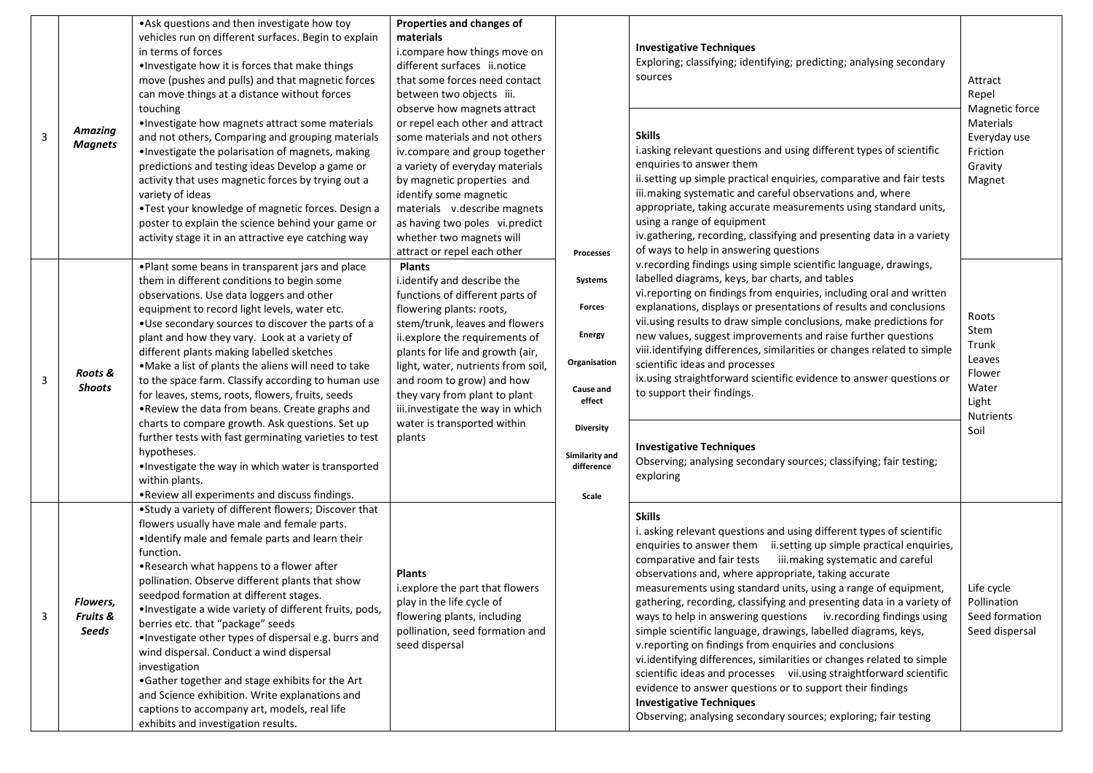| $\overline{\mathbf{3}}$ | <b>Amazing</b><br><b>Magnets</b> | • Ask questions and then investigate how toy<br>vehicles run on different surfaces. Begin to explain<br>in terms of forces<br>. Investigate how it is forces that make things<br>move (pushes and pulls) and that magnetic forces<br>can move things at a distance without forces<br>touching<br>. Investigate how magnets attract some materials<br>and not others, Comparing and grouping materials<br>. Investigate the polarisation of magnets, making<br>predictions and testing ideas Develop a game or<br>activity that uses magnetic forces by trying out a<br>variety of ideas<br>•Test your knowledge of magnetic forces. Design a<br>poster to explain the science behind your game or<br>activity stage it in an attractive eye catching way                         | Properties and changes of<br>materials<br>i.compare how things move on<br>different surfaces ii.notice<br>that some forces need contact<br>between two objects iii.<br>observe how magnets attract<br>or repel each other and attract<br>some materials and not others<br>iv.compare and group together<br>a variety of everyday materials<br>by magnetic properties and<br>identify some magnetic<br>materials v.describe magnets<br>as having two poles vi.predict<br>whether two magnets will |                                                                                                                                            | <b>Investigative Techniques</b><br>Exploring; classifying; identifying; predicting; analysing secondary<br>sources<br><b>Skills</b><br>i.asking relevant questions and using different types of scientific<br>enquiries to answer them<br>ii.setting up simple practical enquiries, comparative and fair tests<br>iii.making systematic and careful observations and, where<br>appropriate, taking accurate measurements using standard units,<br>using a range of equipment<br>iv.gathering, recording, classifying and presenting data in a variety<br>of ways to help in answering questions                                                                                                                                                                                                                                                                                                                                                       | Attract<br>Repel<br>Magnetic force<br>Materials<br>Everyday use<br>Friction<br>Gravity<br>Magnet |
|-------------------------|----------------------------------|----------------------------------------------------------------------------------------------------------------------------------------------------------------------------------------------------------------------------------------------------------------------------------------------------------------------------------------------------------------------------------------------------------------------------------------------------------------------------------------------------------------------------------------------------------------------------------------------------------------------------------------------------------------------------------------------------------------------------------------------------------------------------------|--------------------------------------------------------------------------------------------------------------------------------------------------------------------------------------------------------------------------------------------------------------------------------------------------------------------------------------------------------------------------------------------------------------------------------------------------------------------------------------------------|--------------------------------------------------------------------------------------------------------------------------------------------|-------------------------------------------------------------------------------------------------------------------------------------------------------------------------------------------------------------------------------------------------------------------------------------------------------------------------------------------------------------------------------------------------------------------------------------------------------------------------------------------------------------------------------------------------------------------------------------------------------------------------------------------------------------------------------------------------------------------------------------------------------------------------------------------------------------------------------------------------------------------------------------------------------------------------------------------------------|--------------------------------------------------------------------------------------------------|
| $\overline{3}$          | Roots &<br><b>Shoots</b>         | . Plant some beans in transparent jars and place<br>them in different conditions to begin some<br>observations. Use data loggers and other<br>equipment to record light levels, water etc.<br>. Use secondary sources to discover the parts of a<br>plant and how they vary. Look at a variety of<br>different plants making labelled sketches<br>. Make a list of plants the aliens will need to take<br>to the space farm. Classify according to human use<br>for leaves, stems, roots, flowers, fruits, seeds<br>. Review the data from beans. Create graphs and<br>charts to compare growth. Ask questions. Set up<br>further tests with fast germinating varieties to test<br>hypotheses.<br>. Investigate the way in which water is transported<br>within plants.          | attract or repel each other<br><b>Plants</b><br>i.identify and describe the<br>functions of different parts of<br>flowering plants: roots,<br>stem/trunk, leaves and flowers<br>ii.explore the requirements of<br>plants for life and growth (air,<br>light, water, nutrients from soil,<br>and room to grow) and how<br>they vary from plant to plant<br>iii.investigate the way in which<br>water is transported within<br>plants                                                              | Processes<br>Systems<br>Forces<br><b>Energy</b><br>Organisation<br>Cause and<br>effect<br><b>Diversity</b><br>Similarity and<br>difference | v.recording findings using simple scientific language, drawings,<br>labelled diagrams, keys, bar charts, and tables<br>vi. reporting on findings from enquiries, including oral and written<br>explanations, displays or presentations of results and conclusions<br>vii.using results to draw simple conclusions, make predictions for<br>new values, suggest improvements and raise further questions<br>viii.identifying differences, similarities or changes related to simple<br>scientific ideas and processes<br>ix.using straightforward scientific evidence to answer questions or<br>to support their findings.<br><b>Investigative Techniques</b><br>Observing; analysing secondary sources; classifying; fair testing;<br>exploring                                                                                                                                                                                                       | Roots<br>Stem<br>Trunk<br>Leaves<br>Flower<br>Water<br>Light<br><b>Nutrients</b><br>Soil         |
| $\overline{3}$          | Flowers,<br>Fruits &<br>Seeds    | . Review all experiments and discuss findings.<br>•Study a variety of different flowers; Discover that<br>flowers usually have male and female parts.<br>. Identify male and female parts and learn their<br>function.<br>. Research what happens to a flower after<br>pollination. Observe different plants that show<br>seedpod formation at different stages.<br>·Investigate a wide variety of different fruits, pods,<br>berries etc. that "package" seeds<br>·Investigate other types of dispersal e.g. burrs and<br>wind dispersal. Conduct a wind dispersal<br>investigation<br>•Gather together and stage exhibits for the Art<br>and Science exhibition. Write explanations and<br>captions to accompany art, models, real life<br>exhibits and investigation results. | Plants<br>i.explore the part that flowers<br>play in the life cycle of<br>flowering plants, including<br>pollination, seed formation and<br>seed dispersal                                                                                                                                                                                                                                                                                                                                       | Scale                                                                                                                                      | <b>Skills</b><br>i. asking relevant questions and using different types of scientific<br>enquiries to answer them ii.setting up simple practical enquiries,<br>iii. making systematic and careful<br>comparative and fair tests<br>observations and, where appropriate, taking accurate<br>measurements using standard units, using a range of equipment,<br>gathering, recording, classifying and presenting data in a variety of<br>ways to help in answering questions iv. recording findings using<br>simple scientific language, drawings, labelled diagrams, keys,<br>v.reporting on findings from enquiries and conclusions<br>vi.identifying differences, similarities or changes related to simple<br>scientific ideas and processes vii.using straightforward scientific<br>evidence to answer questions or to support their findings<br><b>Investigative Techniques</b><br>Observing; analysing secondary sources; exploring; fair testing | Life cycle<br>Pollination<br>Seed formation<br>Seed dispersal                                    |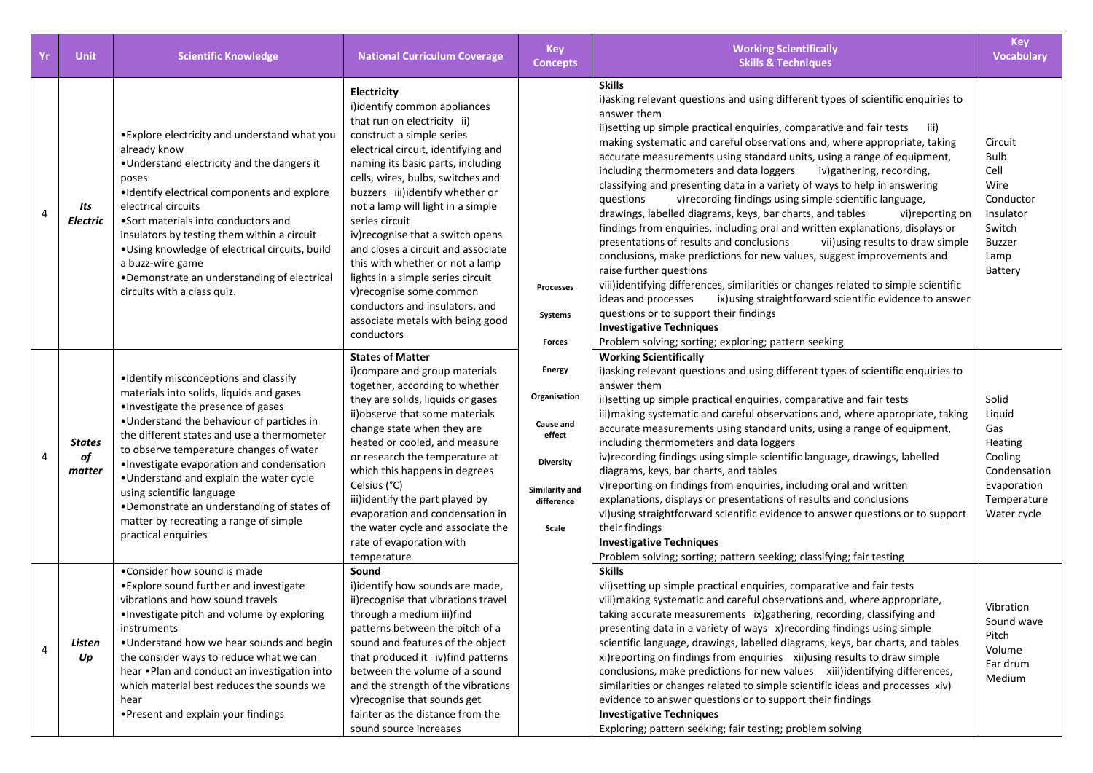| Yr | <b>Unit</b>                   | <b>Scientific Knowledge</b>                                                                                                                                                                                                                                                                                                                                                                                                                                                                           | <b>National Curriculum Coverage</b>                                                                                                                                                                                                                                                                                                                                                                                                                                                                                                                                                   | <b>Key</b><br><b>Concepts</b>                                                                                                                                     | <b>Working Scientifically</b><br><b>Skills &amp; Techniques</b>                                                                                                                                                                                                                                                                                                                                                                                                                                                                                                                                                                                                                                                                                                                                                                                                                                                                                                                                                                                                                                                                                                                                                                                            | <b>Key</b><br>Vocabulary                                                                                       |                                                                                                                                                                                                                                                                                                                                                                                                                                                                                                                                                                                                                                                                                                                                                                                                                                                                                                          |
|----|-------------------------------|-------------------------------------------------------------------------------------------------------------------------------------------------------------------------------------------------------------------------------------------------------------------------------------------------------------------------------------------------------------------------------------------------------------------------------------------------------------------------------------------------------|---------------------------------------------------------------------------------------------------------------------------------------------------------------------------------------------------------------------------------------------------------------------------------------------------------------------------------------------------------------------------------------------------------------------------------------------------------------------------------------------------------------------------------------------------------------------------------------|-------------------------------------------------------------------------------------------------------------------------------------------------------------------|------------------------------------------------------------------------------------------------------------------------------------------------------------------------------------------------------------------------------------------------------------------------------------------------------------------------------------------------------------------------------------------------------------------------------------------------------------------------------------------------------------------------------------------------------------------------------------------------------------------------------------------------------------------------------------------------------------------------------------------------------------------------------------------------------------------------------------------------------------------------------------------------------------------------------------------------------------------------------------------------------------------------------------------------------------------------------------------------------------------------------------------------------------------------------------------------------------------------------------------------------------|----------------------------------------------------------------------------------------------------------------|----------------------------------------------------------------------------------------------------------------------------------------------------------------------------------------------------------------------------------------------------------------------------------------------------------------------------------------------------------------------------------------------------------------------------------------------------------------------------------------------------------------------------------------------------------------------------------------------------------------------------------------------------------------------------------------------------------------------------------------------------------------------------------------------------------------------------------------------------------------------------------------------------------|
| 4  | Its<br><b>Electric</b>        | • Explore electricity and understand what you<br>already know<br>. Understand electricity and the dangers it<br>poses<br>•Identify electrical components and explore<br>electrical circuits<br>• Sort materials into conductors and<br>insulators by testing them within a circuit<br>• Using knowledge of electrical circuits, build<br>a buzz-wire game<br>•Demonstrate an understanding of electrical<br>circuits with a class quiz.                                                               | Electricity<br>i)identify common appliances<br>that run on electricity ii)<br>construct a simple series<br>electrical circuit, identifying and<br>naming its basic parts, including<br>cells, wires, bulbs, switches and<br>buzzers iii)identify whether or<br>not a lamp will light in a simple<br>series circuit<br>iv) recognise that a switch opens<br>and closes a circuit and associate<br>this with whether or not a lamp<br>lights in a simple series circuit<br>v) recognise some common<br>conductors and insulators, and<br>associate metals with being good<br>conductors | Processes<br><b>Systems</b><br><b>Forces</b><br><b>Energy</b><br>Organisation<br>Cause and<br>effect<br><b>Diversity</b><br>Similarity and<br>difference<br>Scale | <b>Skills</b><br>i) asking relevant questions and using different types of scientific enquiries to<br>answer them<br>ii)setting up simple practical enquiries, comparative and fair tests<br>iii)<br>making systematic and careful observations and, where appropriate, taking<br>accurate measurements using standard units, using a range of equipment,<br>including thermometers and data loggers<br>iv)gathering, recording,<br>classifying and presenting data in a variety of ways to help in answering<br>questions<br>v) recording findings using simple scientific language,<br>drawings, labelled diagrams, keys, bar charts, and tables<br>vi) reporting on<br>findings from enquiries, including oral and written explanations, displays or<br>presentations of results and conclusions<br>vii) using results to draw simple<br>conclusions, make predictions for new values, suggest improvements and<br>raise further questions<br>viii)identifying differences, similarities or changes related to simple scientific<br>ideas and processes<br>ix) using straightforward scientific evidence to answer<br>questions or to support their findings<br><b>Investigative Techniques</b><br>Problem solving; sorting; exploring; pattern seeking | Circuit<br><b>Bulb</b><br>Cell<br>Wire<br>Conductor<br>Insulator<br>Switch<br><b>Buzzer</b><br>Lamp<br>Battery |                                                                                                                                                                                                                                                                                                                                                                                                                                                                                                                                                                                                                                                                                                                                                                                                                                                                                                          |
| 4  | <b>States</b><br>of<br>matter | •Identify misconceptions and classify<br>materials into solids, liquids and gases<br>·Investigate the presence of gases<br>. Understand the behaviour of particles in<br>the different states and use a thermometer<br>to observe temperature changes of water<br>. Investigate evaporation and condensation<br>. Understand and explain the water cycle<br>using scientific language<br>. Demonstrate an understanding of states of<br>matter by recreating a range of simple<br>practical enquiries | <b>States of Matter</b><br>i)compare and group materials<br>together, according to whether<br>they are solids, liquids or gases<br>ii) observe that some materials<br>change state when they are<br>heated or cooled, and measure<br>or research the temperature at<br>which this happens in degrees<br>Celsius (°C)<br>iii) identify the part played by<br>evaporation and condensation in<br>the water cycle and associate the<br>rate of evaporation with<br>temperature                                                                                                           |                                                                                                                                                                   |                                                                                                                                                                                                                                                                                                                                                                                                                                                                                                                                                                                                                                                                                                                                                                                                                                                                                                                                                                                                                                                                                                                                                                                                                                                            |                                                                                                                | <b>Working Scientifically</b><br>i) asking relevant questions and using different types of scientific enquiries to<br>answer them<br>ii) setting up simple practical enquiries, comparative and fair tests<br>iii) making systematic and careful observations and, where appropriate, taking<br>accurate measurements using standard units, using a range of equipment,<br>including thermometers and data loggers<br>iv) recording findings using simple scientific language, drawings, labelled<br>diagrams, keys, bar charts, and tables<br>v) reporting on findings from enquiries, including oral and written<br>explanations, displays or presentations of results and conclusions<br>vi) using straightforward scientific evidence to answer questions or to support<br>their findings<br><b>Investigative Techniques</b><br>Problem solving; sorting; pattern seeking; classifying; fair testing |
| 4  | Listen<br>Up                  | •Consider how sound is made<br>• Explore sound further and investigate<br>vibrations and how sound travels<br>. Investigate pitch and volume by exploring<br>instruments<br>• Understand how we hear sounds and begin<br>the consider ways to reduce what we can<br>hear .Plan and conduct an investigation into<br>which material best reduces the sounds we<br>hear<br>• Present and explain your findings                                                                                          | Sound<br>i)identify how sounds are made,<br>ii) recognise that vibrations travel<br>through a medium iii)find<br>patterns between the pitch of a<br>sound and features of the object<br>that produced it iv) find patterns<br>between the volume of a sound<br>and the strength of the vibrations<br>v) recognise that sounds get<br>fainter as the distance from the<br>sound source increases                                                                                                                                                                                       |                                                                                                                                                                   | <b>Skills</b><br>vii) setting up simple practical enquiries, comparative and fair tests<br>viii) making systematic and careful observations and, where appropriate,<br>taking accurate measurements ix) gathering, recording, classifying and<br>presenting data in a variety of ways x) recording findings using simple<br>scientific language, drawings, labelled diagrams, keys, bar charts, and tables<br>xi) reporting on findings from enquiries xii) using results to draw simple<br>conclusions, make predictions for new values xiii)identifying differences,<br>similarities or changes related to simple scientific ideas and processes xiv)<br>evidence to answer questions or to support their findings<br><b>Investigative Techniques</b><br>Exploring; pattern seeking; fair testing; problem solving                                                                                                                                                                                                                                                                                                                                                                                                                                       | Vibration<br>Sound wave<br>Pitch<br>Volume<br>Ear drum<br>Medium                                               |                                                                                                                                                                                                                                                                                                                                                                                                                                                                                                                                                                                                                                                                                                                                                                                                                                                                                                          |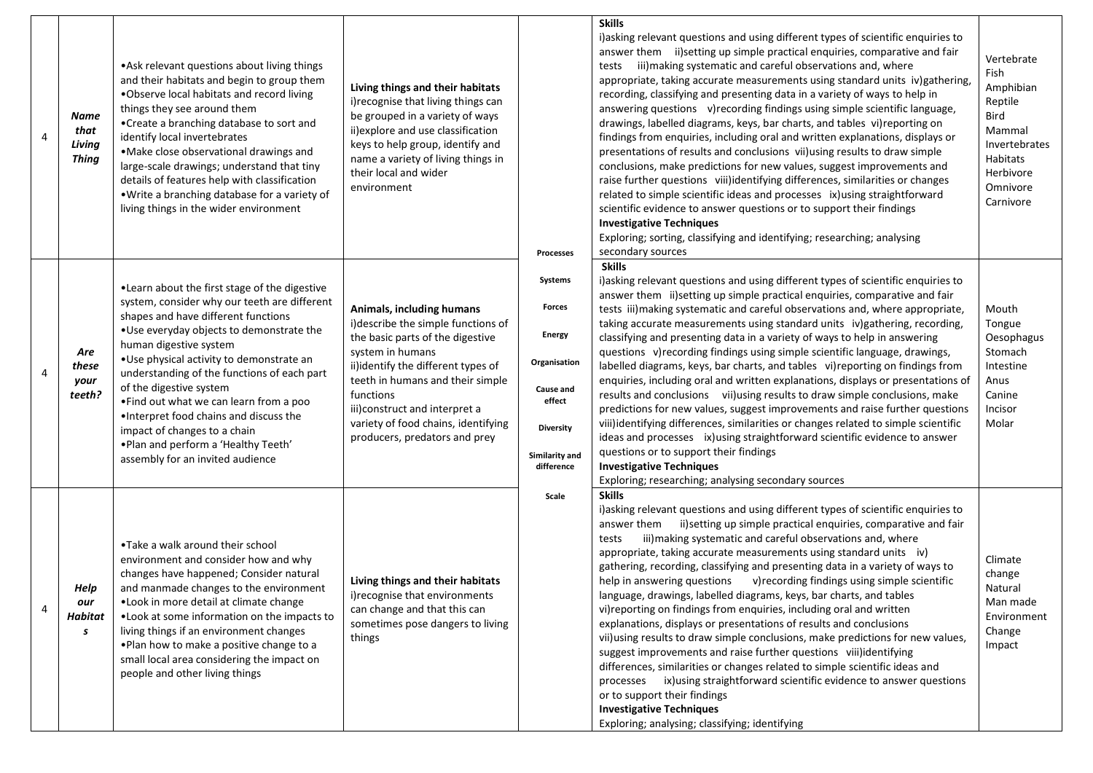| $\overline{4}$ | Name<br>that<br>Living<br><b>Thing</b> | • Ask relevant questions about living things<br>and their habitats and begin to group them<br>.Observe local habitats and record living<br>things they see around them<br>•Create a branching database to sort and<br>identify local invertebrates<br>• Make close observational drawings and<br>large-scale drawings; understand that tiny<br>details of features help with classification<br>. Write a branching database for a variety of<br>living things in the wider environment                                                | Living things and their habitats<br>i) recognise that living things can<br>be grouped in a variety of ways<br>ii) explore and use classification<br>keys to help group, identify and<br>name a variety of living things in<br>their local and wider<br>environment                                                        | Processes                                                                                                                            | <b>Skills</b><br>i) asking relevant questions and using different types of scientific enquiries to<br>answer them ii) setting up simple practical enquiries, comparative and fair<br>iii) making systematic and careful observations and, where<br>tests<br>appropriate, taking accurate measurements using standard units iv)gathering,<br>recording, classifying and presenting data in a variety of ways to help in<br>answering questions v) recording findings using simple scientific language,<br>drawings, labelled diagrams, keys, bar charts, and tables vi) reporting on<br>findings from enquiries, including oral and written explanations, displays or<br>presentations of results and conclusions vii) using results to draw simple<br>conclusions, make predictions for new values, suggest improvements and<br>raise further questions viii) identifying differences, similarities or changes<br>related to simple scientific ideas and processes ix) using straightforward<br>scientific evidence to answer questions or to support their findings<br><b>Investigative Techniques</b><br>Exploring; sorting, classifying and identifying; researching; analysing<br>secondary sources | Vertebrate<br>Fish<br>Amphibian<br>Reptile<br><b>Bird</b><br>Mammal<br>Invertebrates<br>Habitats<br>Herbivore<br>Omnivore<br>Carnivore |
|----------------|----------------------------------------|---------------------------------------------------------------------------------------------------------------------------------------------------------------------------------------------------------------------------------------------------------------------------------------------------------------------------------------------------------------------------------------------------------------------------------------------------------------------------------------------------------------------------------------|---------------------------------------------------------------------------------------------------------------------------------------------------------------------------------------------------------------------------------------------------------------------------------------------------------------------------|--------------------------------------------------------------------------------------------------------------------------------------|---------------------------------------------------------------------------------------------------------------------------------------------------------------------------------------------------------------------------------------------------------------------------------------------------------------------------------------------------------------------------------------------------------------------------------------------------------------------------------------------------------------------------------------------------------------------------------------------------------------------------------------------------------------------------------------------------------------------------------------------------------------------------------------------------------------------------------------------------------------------------------------------------------------------------------------------------------------------------------------------------------------------------------------------------------------------------------------------------------------------------------------------------------------------------------------------------------|----------------------------------------------------------------------------------------------------------------------------------------|
| 4              | Are<br>these<br>your<br>teeth?         | . Learn about the first stage of the digestive<br>system, consider why our teeth are different<br>shapes and have different functions<br>. Use everyday objects to demonstrate the<br>human digestive system<br>. Use physical activity to demonstrate an<br>understanding of the functions of each part<br>of the digestive system<br>. Find out what we can learn from a poo<br>. Interpret food chains and discuss the<br>impact of changes to a chain<br>. Plan and perform a 'Healthy Teeth'<br>assembly for an invited audience | Animals, including humans<br>i) describe the simple functions of<br>the basic parts of the digestive<br>system in humans<br>ii)identify the different types of<br>teeth in humans and their simple<br>functions<br>iii) construct and interpret a<br>variety of food chains, identifying<br>producers, predators and prey | Systems<br><b>Forces</b><br><b>Energy</b><br>Organisation<br>Cause and<br>effect<br><b>Diversity</b><br>Similarity and<br>difference | <b>Skills</b><br>i) asking relevant questions and using different types of scientific enquiries to<br>answer them ii)setting up simple practical enquiries, comparative and fair<br>tests iii) making systematic and careful observations and, where appropriate,<br>taking accurate measurements using standard units iv) gathering, recording,<br>classifying and presenting data in a variety of ways to help in answering<br>questions v) recording findings using simple scientific language, drawings,<br>labelled diagrams, keys, bar charts, and tables vi)reporting on findings from<br>enquiries, including oral and written explanations, displays or presentations of<br>results and conclusions vii) using results to draw simple conclusions, make<br>predictions for new values, suggest improvements and raise further questions<br>viii) identifying differences, similarities or changes related to simple scientific<br>ideas and processes ix) using straightforward scientific evidence to answer<br>questions or to support their findings<br><b>Investigative Techniques</b><br>Exploring; researching; analysing secondary sources                                              | Mouth<br>Tongue<br>Oesophagus<br>Stomach<br>Intestine<br>Anus<br>Canine<br>Incisor<br>Molar                                            |
| 4              | Help<br>our<br>Habitat<br>s            | . Take a walk around their school<br>environment and consider how and why<br>changes have happened; Consider natural<br>and manmade changes to the environment<br>• Look in more detail at climate change<br>. Look at some information on the impacts to<br>living things if an environment changes<br>. Plan how to make a positive change to a<br>small local area considering the impact on<br>people and other living things                                                                                                     | Living things and their habitats<br>i) recognise that environments<br>can change and that this can<br>sometimes pose dangers to living<br>things                                                                                                                                                                          | Scale                                                                                                                                | <b>Skills</b><br>i) asking relevant questions and using different types of scientific enquiries to<br>answer them ii) setting up simple practical enquiries, comparative and fair<br>iii) making systematic and careful observations and, where<br>tests<br>appropriate, taking accurate measurements using standard units iv)<br>gathering, recording, classifying and presenting data in a variety of ways to<br>help in answering questions v) recording findings using simple scientific<br>language, drawings, labelled diagrams, keys, bar charts, and tables<br>vi) reporting on findings from enquiries, including oral and written<br>explanations, displays or presentations of results and conclusions<br>vii) using results to draw simple conclusions, make predictions for new values,<br>suggest improvements and raise further questions viii)identifying<br>differences, similarities or changes related to simple scientific ideas and<br>ix) using straightforward scientific evidence to answer questions<br>processes<br>or to support their findings<br><b>Investigative Techniques</b><br>Exploring; analysing; classifying; identifying                                         | Climate<br>change<br>Natural<br>Man made<br>Environment<br>Change<br>Impact                                                            |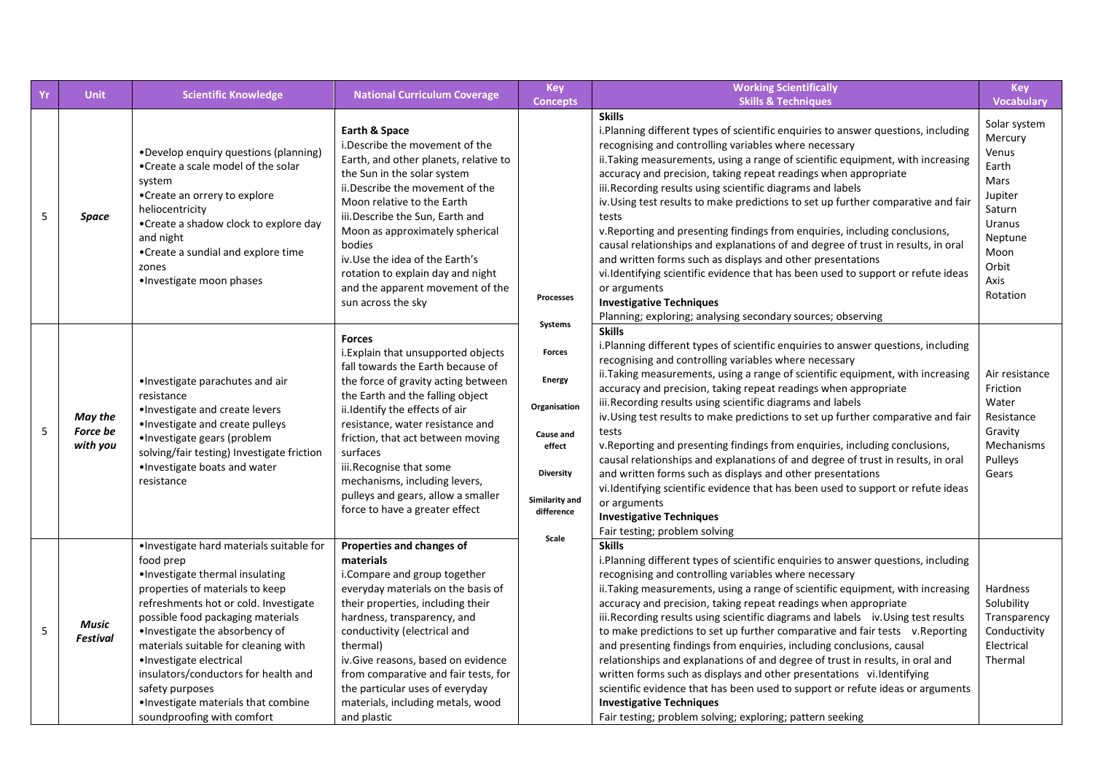| Yr | <b>Unit</b>                            | <b>Scientific Knowledge</b>                                                                                                                                                                                                                                                                                                                                                                                                                     | <b>National Curriculum Coverage</b>                                                                                                                                                                                                                                                                                                                                                                                              | <b>Key</b><br><b>Concepts</b>                                                                                                        | <b>Working Scientifically</b><br><b>Skills &amp; Techniques</b>                                                                                                                                                                                                                                                                                                                                                                                                                                                                                                                                                                                                                                                                                                                                                                                                                                                       | <b>Key</b><br>Vocabulary                                                                                                         |
|----|----------------------------------------|-------------------------------------------------------------------------------------------------------------------------------------------------------------------------------------------------------------------------------------------------------------------------------------------------------------------------------------------------------------------------------------------------------------------------------------------------|----------------------------------------------------------------------------------------------------------------------------------------------------------------------------------------------------------------------------------------------------------------------------------------------------------------------------------------------------------------------------------------------------------------------------------|--------------------------------------------------------------------------------------------------------------------------------------|-----------------------------------------------------------------------------------------------------------------------------------------------------------------------------------------------------------------------------------------------------------------------------------------------------------------------------------------------------------------------------------------------------------------------------------------------------------------------------------------------------------------------------------------------------------------------------------------------------------------------------------------------------------------------------------------------------------------------------------------------------------------------------------------------------------------------------------------------------------------------------------------------------------------------|----------------------------------------------------------------------------------------------------------------------------------|
| 5  | Space                                  | •Develop enquiry questions (planning)<br>•Create a scale model of the solar<br>system<br>•Create an orrery to explore<br>heliocentricity<br>•Create a shadow clock to explore day<br>and night<br>•Create a sundial and explore time<br>zones<br>•Investigate moon phases                                                                                                                                                                       | Earth & Space<br>i.Describe the movement of the<br>Earth, and other planets, relative to<br>the Sun in the solar system<br>ii.Describe the movement of the<br>Moon relative to the Earth<br>iii.Describe the Sun, Earth and<br>Moon as approximately spherical<br>bodies<br>iv. Use the idea of the Earth's<br>rotation to explain day and night<br>and the apparent movement of the<br>sun across the sky                       | Processes                                                                                                                            | <b>Skills</b><br>i. Planning different types of scientific enquiries to answer questions, including<br>recognising and controlling variables where necessary<br>ii. Taking measurements, using a range of scientific equipment, with increasing<br>accuracy and precision, taking repeat readings when appropriate<br>iii.Recording results using scientific diagrams and labels<br>iv. Using test results to make predictions to set up further comparative and fair<br>tests<br>v. Reporting and presenting findings from enquiries, including conclusions,<br>causal relationships and explanations of and degree of trust in results, in oral<br>and written forms such as displays and other presentations<br>vi.Identifying scientific evidence that has been used to support or refute ideas<br>or arguments<br><b>Investigative Techniques</b><br>Planning; exploring; analysing secondary sources; observing | Solar system<br>Mercury<br>Venus<br>Earth<br>Mars<br>Jupiter<br>Saturn<br>Uranus<br>Neptune<br>Moon<br>Orbit<br>Axis<br>Rotation |
| 5  | May the<br><b>Force be</b><br>with you | •Investigate parachutes and air<br>resistance<br>•Investigate and create levers<br>•Investigate and create pulleys<br>•Investigate gears (problem<br>solving/fair testing) Investigate friction<br>. Investigate boats and water<br>resistance                                                                                                                                                                                                  | <b>Forces</b><br>i. Explain that unsupported objects<br>fall towards the Earth because of<br>the force of gravity acting between<br>the Earth and the falling object<br>ii. Identify the effects of air<br>resistance, water resistance and<br>friction, that act between moving<br>surfaces<br>iii.Recognise that some<br>mechanisms, including levers,<br>pulleys and gears, allow a smaller<br>force to have a greater effect | Systems<br><b>Forces</b><br><b>Energy</b><br>Organisation<br>Cause and<br>effect<br><b>Diversity</b><br>Similarity and<br>difference | <b>Skills</b><br>i. Planning different types of scientific enquiries to answer questions, including<br>recognising and controlling variables where necessary<br>ii. Taking measurements, using a range of scientific equipment, with increasing<br>accuracy and precision, taking repeat readings when appropriate<br>iii.Recording results using scientific diagrams and labels<br>iv. Using test results to make predictions to set up further comparative and fair<br>tests<br>v. Reporting and presenting findings from enquiries, including conclusions,<br>causal relationships and explanations of and degree of trust in results, in oral<br>and written forms such as displays and other presentations<br>vi.Identifying scientific evidence that has been used to support or refute ideas<br>or arguments<br><b>Investigative Techniques</b><br>Fair testing; problem solving                               | Air resistance<br>Friction<br>Water<br>Resistance<br>Gravity<br>Mechanisms<br>Pulleys<br>Gears                                   |
| 5  | <b>Music</b><br><b>Festival</b>        | ·Investigate hard materials suitable for<br>food prep<br>·Investigate thermal insulating<br>properties of materials to keep<br>refreshments hot or cold. Investigate<br>possible food packaging materials<br>•Investigate the absorbency of<br>materials suitable for cleaning with<br>·Investigate electrical<br>insulators/conductors for health and<br>safety purposes<br>. Investigate materials that combine<br>soundproofing with comfort | Properties and changes of<br>materials<br>i.Compare and group together<br>everyday materials on the basis of<br>their properties, including their<br>hardness, transparency, and<br>conductivity (electrical and<br>thermal)<br>iv. Give reasons, based on evidence<br>from comparative and fair tests, for<br>the particular uses of everyday<br>materials, including metals, wood<br>and plastic                               | Scale                                                                                                                                | <b>Skills</b><br>i. Planning different types of scientific enquiries to answer questions, including<br>recognising and controlling variables where necessary<br>ii. Taking measurements, using a range of scientific equipment, with increasing<br>accuracy and precision, taking repeat readings when appropriate<br>iii. Recording results using scientific diagrams and labels iv. Using test results<br>to make predictions to set up further comparative and fair tests v. Reporting<br>and presenting findings from enquiries, including conclusions, causal<br>relationships and explanations of and degree of trust in results, in oral and<br>written forms such as displays and other presentations vi. Identifying<br>scientific evidence that has been used to support or refute ideas or arguments<br><b>Investigative Techniques</b><br>Fair testing; problem solving; exploring; pattern seeking       | Hardness<br>Solubility<br>Transparency<br>Conductivity<br>Electrical<br>Thermal                                                  |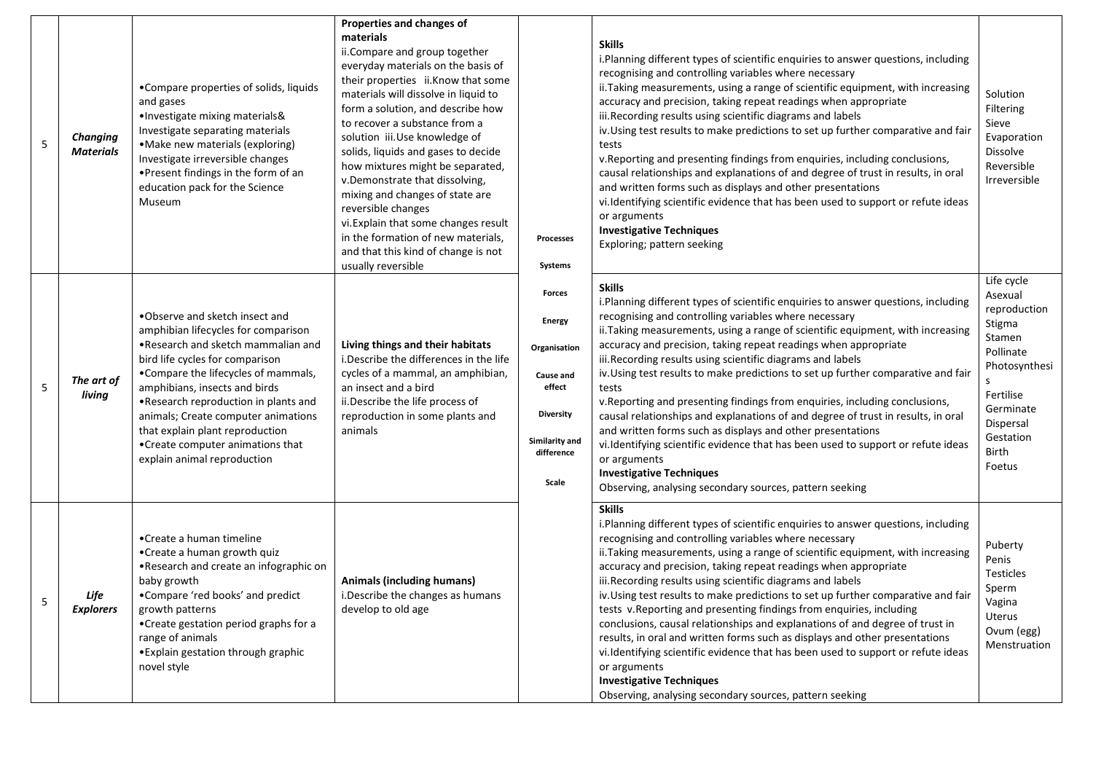| 5 | <b>Changing</b><br><b>Materials</b> | •Compare properties of solids, liquids<br>and gases<br>•Investigate mixing materials&<br>Investigate separating materials<br>• Make new materials (exploring)<br>Investigate irreversible changes<br>. Present findings in the form of an<br>education pack for the Science<br>Museum                                                                                                                          | Properties and changes of<br>materials<br>ii. Compare and group together<br>everyday materials on the basis of<br>their properties ii.Know that some<br>materials will dissolve in liquid to<br>form a solution, and describe how<br>to recover a substance from a<br>solution iii.Use knowledge of<br>solids, liquids and gases to decide<br>how mixtures might be separated,<br>v.Demonstrate that dissolving,<br>mixing and changes of state are<br>reversible changes<br>vi. Explain that some changes result<br>in the formation of new materials,<br>and that this kind of change is not<br>usually reversible | <b>Processes</b><br>Systems                                                                                                        | <b>Skills</b><br>i.Planning different types of scientific enquiries to answer questions, including<br>recognising and controlling variables where necessary<br>ii. Taking measurements, using a range of scientific equipment, with increasing<br>accuracy and precision, taking repeat readings when appropriate<br>iii. Recording results using scientific diagrams and labels<br>iv. Using test results to make predictions to set up further comparative and fair<br>tests<br>v. Reporting and presenting findings from enquiries, including conclusions,<br>causal relationships and explanations of and degree of trust in results, in oral<br>and written forms such as displays and other presentations<br>vi. Identifying scientific evidence that has been used to support or refute ideas<br>or arguments<br><b>Investigative Techniques</b><br>Exploring; pattern seeking                              | Solution<br>Filtering<br>Sieve<br>Evaporation<br>Dissolve<br>Reversible<br>Irreversible                                                                        |
|---|-------------------------------------|----------------------------------------------------------------------------------------------------------------------------------------------------------------------------------------------------------------------------------------------------------------------------------------------------------------------------------------------------------------------------------------------------------------|----------------------------------------------------------------------------------------------------------------------------------------------------------------------------------------------------------------------------------------------------------------------------------------------------------------------------------------------------------------------------------------------------------------------------------------------------------------------------------------------------------------------------------------------------------------------------------------------------------------------|------------------------------------------------------------------------------------------------------------------------------------|--------------------------------------------------------------------------------------------------------------------------------------------------------------------------------------------------------------------------------------------------------------------------------------------------------------------------------------------------------------------------------------------------------------------------------------------------------------------------------------------------------------------------------------------------------------------------------------------------------------------------------------------------------------------------------------------------------------------------------------------------------------------------------------------------------------------------------------------------------------------------------------------------------------------|----------------------------------------------------------------------------------------------------------------------------------------------------------------|
| 5 | The art of<br>living                | .Observe and sketch insect and<br>amphibian lifecycles for comparison<br>• Research and sketch mammalian and<br>bird life cycles for comparison<br>•Compare the lifecycles of mammals,<br>amphibians, insects and birds<br>. Research reproduction in plants and<br>animals; Create computer animations<br>that explain plant reproduction<br>• Create computer animations that<br>explain animal reproduction | Living things and their habitats<br>i. Describe the differences in the life<br>cycles of a mammal, an amphibian,<br>an insect and a bird<br>ii. Describe the life process of<br>reproduction in some plants and<br>animals                                                                                                                                                                                                                                                                                                                                                                                           | <b>Forces</b><br><b>Energy</b><br>Organisation<br>Cause and<br>effect<br><b>Diversity</b><br>Similarity and<br>difference<br>Scale | <b>Skills</b><br>i. Planning different types of scientific enquiries to answer questions, including<br>recognising and controlling variables where necessary<br>ii. Taking measurements, using a range of scientific equipment, with increasing<br>accuracy and precision, taking repeat readings when appropriate<br>iii.Recording results using scientific diagrams and labels<br>iv. Using test results to make predictions to set up further comparative and fair<br>tests<br>v. Reporting and presenting findings from enquiries, including conclusions,<br>causal relationships and explanations of and degree of trust in results, in oral<br>and written forms such as displays and other presentations<br>vi. Identifying scientific evidence that has been used to support or refute ideas<br>or arguments<br><b>Investigative Techniques</b><br>Observing, analysing secondary sources, pattern seeking | Life cycle<br>Asexual<br>reproduction<br>Stigma<br>Stamen<br>Pollinate<br>Photosynthesi<br>Fertilise<br>Germinate<br>Dispersal<br>Gestation<br>Birth<br>Foetus |
| 5 | Life<br><b>Explorers</b>            | •Create a human timeline<br>• Create a human growth quiz<br>•Research and create an infographic on<br>baby growth<br>•Compare 'red books' and predict<br>growth patterns<br>• Create gestation period graphs for a<br>range of animals<br>• Explain gestation through graphic<br>novel style                                                                                                                   | <b>Animals (including humans)</b><br>i. Describe the changes as humans<br>develop to old age                                                                                                                                                                                                                                                                                                                                                                                                                                                                                                                         |                                                                                                                                    | <b>Skills</b><br>i. Planning different types of scientific enquiries to answer questions, including<br>recognising and controlling variables where necessary<br>ii. Taking measurements, using a range of scientific equipment, with increasing<br>accuracy and precision, taking repeat readings when appropriate<br>iii. Recording results using scientific diagrams and labels<br>iv. Using test results to make predictions to set up further comparative and fair<br>tests v. Reporting and presenting findings from enquiries, including<br>conclusions, causal relationships and explanations of and degree of trust in<br>results, in oral and written forms such as displays and other presentations<br>vi.Identifying scientific evidence that has been used to support or refute ideas<br>or arguments<br><b>Investigative Techniques</b><br>Observing, analysing secondary sources, pattern seeking    | Puberty<br>Penis<br><b>Testicles</b><br>Sperm<br>Vagina<br>Uterus<br>Ovum (egg)<br>Menstruation                                                                |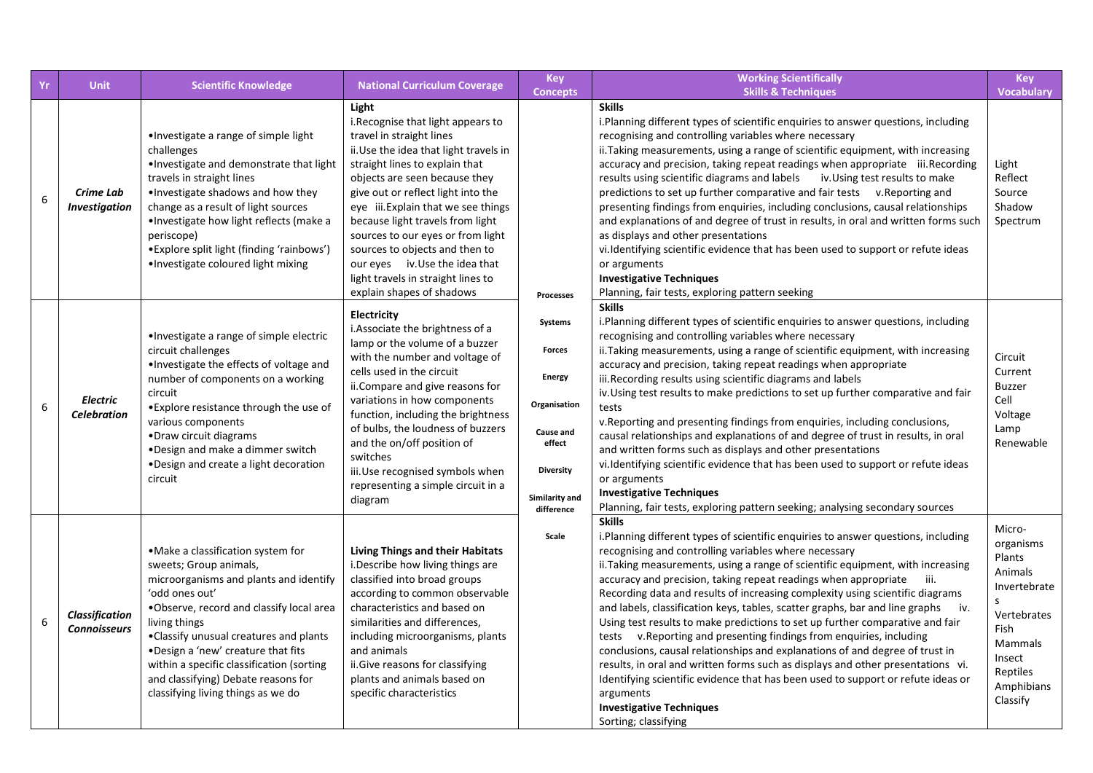| Yr | <b>Unit</b>                                  | <b>Scientific Knowledge</b>                                                                                                                                                                                                                                                                                                                                                                      | <b>National Curriculum Coverage</b>                                                                                                                                                                                                                                                                                                                                                                                                                                               | <b>Key</b><br><b>Concepts</b>                                                                                                        | <b>Working Scientifically</b><br><b>Skills &amp; Techniques</b>                                                                                                                                                                                                                                                                                                                                                                                                                                                                                                                                                                                                                                                                                                                                                                                                                                                                                                                        | Key<br><b>Vocabulary</b>                                                                                                                                   |
|----|----------------------------------------------|--------------------------------------------------------------------------------------------------------------------------------------------------------------------------------------------------------------------------------------------------------------------------------------------------------------------------------------------------------------------------------------------------|-----------------------------------------------------------------------------------------------------------------------------------------------------------------------------------------------------------------------------------------------------------------------------------------------------------------------------------------------------------------------------------------------------------------------------------------------------------------------------------|--------------------------------------------------------------------------------------------------------------------------------------|----------------------------------------------------------------------------------------------------------------------------------------------------------------------------------------------------------------------------------------------------------------------------------------------------------------------------------------------------------------------------------------------------------------------------------------------------------------------------------------------------------------------------------------------------------------------------------------------------------------------------------------------------------------------------------------------------------------------------------------------------------------------------------------------------------------------------------------------------------------------------------------------------------------------------------------------------------------------------------------|------------------------------------------------------------------------------------------------------------------------------------------------------------|
| 6  | Crime Lab<br>Investigation                   | •Investigate a range of simple light<br>challenges<br>. Investigate and demonstrate that light<br>travels in straight lines<br>. Investigate shadows and how they<br>change as a result of light sources<br>• Investigate how light reflects (make a<br>periscope)<br>• Explore split light (finding 'rainbows')<br>•Investigate coloured light mixing                                           | Light<br>i. Recognise that light appears to<br>travel in straight lines<br>ii. Use the idea that light travels in<br>straight lines to explain that<br>objects are seen because they<br>give out or reflect light into the<br>eye iii. Explain that we see things<br>because light travels from light<br>sources to our eyes or from light<br>sources to objects and then to<br>our eyes iv. Use the idea that<br>light travels in straight lines to<br>explain shapes of shadows | Processes                                                                                                                            | <b>Skills</b><br>i. Planning different types of scientific enquiries to answer questions, including<br>recognising and controlling variables where necessary<br>ii. Taking measurements, using a range of scientific equipment, with increasing<br>accuracy and precision, taking repeat readings when appropriate iii. Recording<br>results using scientific diagrams and labels iv. Using test results to make<br>predictions to set up further comparative and fair tests v. Reporting and<br>presenting findings from enquiries, including conclusions, causal relationships<br>and explanations of and degree of trust in results, in oral and written forms such<br>as displays and other presentations<br>vi. Identifying scientific evidence that has been used to support or refute ideas<br>or arguments<br><b>Investigative Techniques</b><br>Planning, fair tests, exploring pattern seeking                                                                               | Light<br>Reflect<br>Source<br>Shadow<br>Spectrum                                                                                                           |
| 6  | <b>Electric</b><br><b>Celebration</b>        | ·Investigate a range of simple electric<br>circuit challenges<br>. Investigate the effects of voltage and<br>number of components on a working<br>circuit<br>• Explore resistance through the use of<br>various components<br>•Draw circuit diagrams<br>. Design and make a dimmer switch<br>. Design and create a light decoration<br>circuit                                                   | Electricity<br>i. Associate the brightness of a<br>lamp or the volume of a buzzer<br>with the number and voltage of<br>cells used in the circuit<br>ii. Compare and give reasons for<br>variations in how components<br>function, including the brightness<br>of bulbs, the loudness of buzzers<br>and the on/off position of<br>switches<br>iii. Use recognised symbols when<br>representing a simple circuit in a<br>diagram                                                    | Systems<br><b>Forces</b><br><b>Energy</b><br>Organisation<br>Cause and<br>effect<br><b>Diversity</b><br>Similarity and<br>difference | <b>Skills</b><br>i. Planning different types of scientific enquiries to answer questions, including<br>recognising and controlling variables where necessary<br>ii. Taking measurements, using a range of scientific equipment, with increasing<br>accuracy and precision, taking repeat readings when appropriate<br>iii.Recording results using scientific diagrams and labels<br>iv. Using test results to make predictions to set up further comparative and fair<br>tests<br>v. Reporting and presenting findings from enquiries, including conclusions,<br>causal relationships and explanations of and degree of trust in results, in oral<br>and written forms such as displays and other presentations<br>vi.Identifying scientific evidence that has been used to support or refute ideas<br>or arguments<br><b>Investigative Techniques</b><br>Planning, fair tests, exploring pattern seeking; analysing secondary sources                                                 | Circuit<br>Current<br><b>Buzzer</b><br>Cell<br>Voltage<br>Lamp<br>Renewable                                                                                |
| 6  | <b>Classification</b><br><b>Connoisseurs</b> | ·Make a classification system for<br>sweets; Group animals,<br>microorganisms and plants and identify<br>'odd ones out'<br>.Observe, record and classify local area<br>living things<br>. Classify unusual creatures and plants<br>. Design a 'new' creature that fits<br>within a specific classification (sorting<br>and classifying) Debate reasons for<br>classifying living things as we do | <b>Living Things and their Habitats</b><br>i. Describe how living things are<br>classified into broad groups<br>according to common observable<br>characteristics and based on<br>similarities and differences,<br>including microorganisms, plants<br>and animals<br>ii.Give reasons for classifying<br>plants and animals based on<br>specific characteristics                                                                                                                  | Scale                                                                                                                                | <b>Skills</b><br>i.Planning different types of scientific enquiries to answer questions, including<br>recognising and controlling variables where necessary<br>ii. Taking measurements, using a range of scientific equipment, with increasing<br>accuracy and precision, taking repeat readings when appropriate iii.<br>Recording data and results of increasing complexity using scientific diagrams<br>and labels, classification keys, tables, scatter graphs, bar and line graphs<br>iv.<br>Using test results to make predictions to set up further comparative and fair<br>tests v. Reporting and presenting findings from enquiries, including<br>conclusions, causal relationships and explanations of and degree of trust in<br>results, in oral and written forms such as displays and other presentations vi.<br>Identifying scientific evidence that has been used to support or refute ideas or<br>arguments<br><b>Investigative Techniques</b><br>Sorting; classifying | Micro-<br>organisms<br>Plants<br>Animals<br>Invertebrate<br><sub>S</sub><br>Vertebrates<br>Fish<br>Mammals<br>Insect<br>Reptiles<br>Amphibians<br>Classify |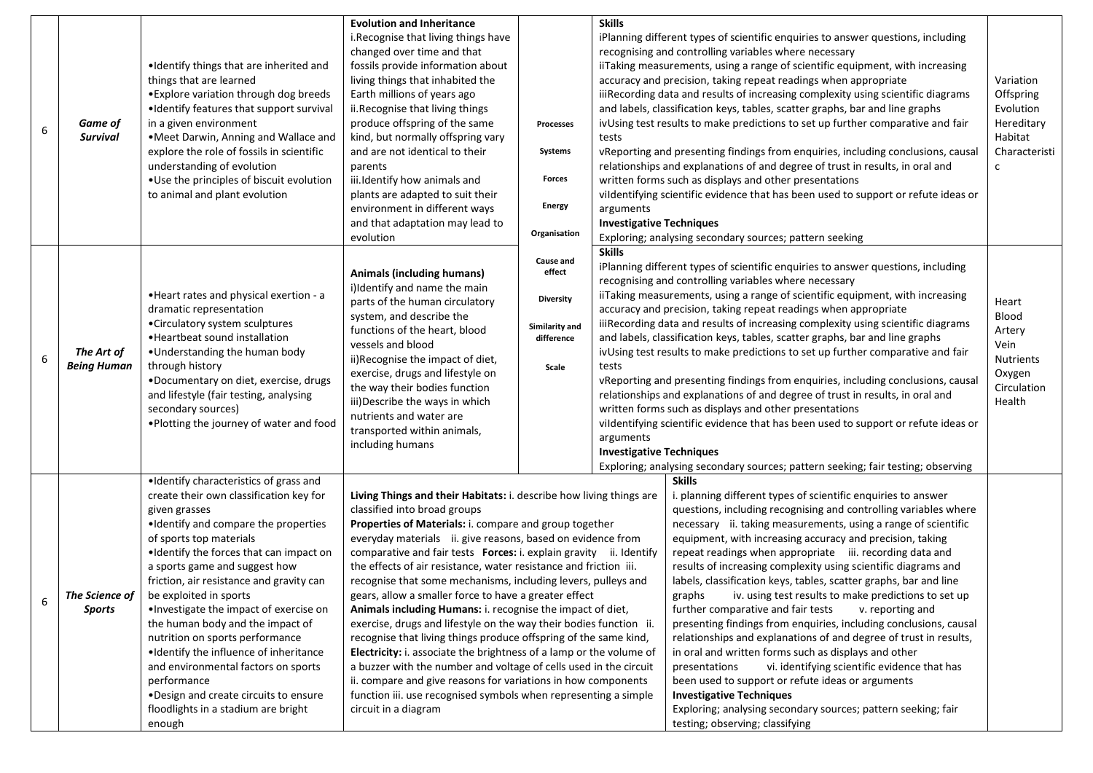| 6 | Game of<br><b>Survival</b>       | •Identify things that are inherited and<br>things that are learned<br>• Explore variation through dog breeds<br>•Identify features that support survival<br>in a given environment<br>. Meet Darwin, Anning and Wallace and<br>explore the role of fossils in scientific<br>understanding of evolution<br>• Use the principles of biscuit evolution<br>to animal and plant evolution                                                                                                                                                                                                                                                    | <b>Evolution and Inheritance</b><br>i.Recognise that living things have<br>changed over time and that<br>fossils provide information about<br>living things that inhabited the<br>Earth millions of years ago<br>ii.Recognise that living things<br>produce offspring of the same<br>kind, but normally offspring vary<br>and are not identical to their<br>parents<br>iii.Identify how animals and<br>plants are adapted to suit their<br>environment in different ways<br>and that adaptation may lead to<br>evolution                                                                                                                                                                                                                                                                                                                                                                                                                                                                                          | <b>Processes</b><br>Systems<br>Forces<br><b>Energy</b><br>Organisation           | <b>Skills</b><br>tests<br>arguments<br><b>Investigative Techniques</b>                                                                                                                                                                                                                                                                                                                                                                                                                                                                                                                                                                                                                                                                                                                                                                                                                                                                              | iPlanning different types of scientific enquiries to answer questions, including<br>recognising and controlling variables where necessary<br>iiTaking measurements, using a range of scientific equipment, with increasing<br>accuracy and precision, taking repeat readings when appropriate<br>iiiRecording data and results of increasing complexity using scientific diagrams<br>and labels, classification keys, tables, scatter graphs, bar and line graphs<br>ivUsing test results to make predictions to set up further comparative and fair<br>vReporting and presenting findings from enquiries, including conclusions, causal<br>relationships and explanations of and degree of trust in results, in oral and<br>written forms such as displays and other presentations<br>vildentifying scientific evidence that has been used to support or refute ideas or<br>Exploring; analysing secondary sources; pattern seeking                                                                                                                                                                                                                             | Variation<br>Offspring<br>Evolution<br>Hereditary<br>Habitat<br>Characteristi<br>$\mathsf{c}$ |
|---|----------------------------------|-----------------------------------------------------------------------------------------------------------------------------------------------------------------------------------------------------------------------------------------------------------------------------------------------------------------------------------------------------------------------------------------------------------------------------------------------------------------------------------------------------------------------------------------------------------------------------------------------------------------------------------------|-------------------------------------------------------------------------------------------------------------------------------------------------------------------------------------------------------------------------------------------------------------------------------------------------------------------------------------------------------------------------------------------------------------------------------------------------------------------------------------------------------------------------------------------------------------------------------------------------------------------------------------------------------------------------------------------------------------------------------------------------------------------------------------------------------------------------------------------------------------------------------------------------------------------------------------------------------------------------------------------------------------------|----------------------------------------------------------------------------------|-----------------------------------------------------------------------------------------------------------------------------------------------------------------------------------------------------------------------------------------------------------------------------------------------------------------------------------------------------------------------------------------------------------------------------------------------------------------------------------------------------------------------------------------------------------------------------------------------------------------------------------------------------------------------------------------------------------------------------------------------------------------------------------------------------------------------------------------------------------------------------------------------------------------------------------------------------|------------------------------------------------------------------------------------------------------------------------------------------------------------------------------------------------------------------------------------------------------------------------------------------------------------------------------------------------------------------------------------------------------------------------------------------------------------------------------------------------------------------------------------------------------------------------------------------------------------------------------------------------------------------------------------------------------------------------------------------------------------------------------------------------------------------------------------------------------------------------------------------------------------------------------------------------------------------------------------------------------------------------------------------------------------------------------------------------------------------------------------------------------------------|-----------------------------------------------------------------------------------------------|
| 6 | The Art of<br><b>Being Human</b> | • Heart rates and physical exertion - a<br>dramatic representation<br>•Circulatory system sculptures<br>• Heartbeat sound installation<br>•Understanding the human body<br>through history<br>•Documentary on diet, exercise, drugs<br>and lifestyle (fair testing, analysing<br>secondary sources)<br>•Plotting the journey of water and food                                                                                                                                                                                                                                                                                          | <b>Animals (including humans)</b><br>i)Identify and name the main<br>parts of the human circulatory<br>system, and describe the<br>functions of the heart, blood<br>vessels and blood<br>ii)Recognise the impact of diet,<br>exercise, drugs and lifestyle on<br>the way their bodies function<br>iii) Describe the ways in which<br>nutrients and water are<br>transported within animals,<br>including humans                                                                                                                                                                                                                                                                                                                                                                                                                                                                                                                                                                                                   | Cause and<br>effect<br><b>Diversity</b><br>Similarity and<br>difference<br>Scale | <b>Skills</b><br>iPlanning different types of scientific enquiries to answer questions, including<br>recognising and controlling variables where necessary<br>iiTaking measurements, using a range of scientific equipment, with increasing<br>accuracy and precision, taking repeat readings when appropriate<br>iiiRecording data and results of increasing complexity using scientific diagrams<br>and labels, classification keys, tables, scatter graphs, bar and line graphs<br>ivUsing test results to make predictions to set up further comparative and fair<br>tests<br>vReporting and presenting findings from enquiries, including conclusions, causal<br>relationships and explanations of and degree of trust in results, in oral and<br>written forms such as displays and other presentations<br>vildentifying scientific evidence that has been used to support or refute ideas or<br>arguments<br><b>Investigative Techniques</b> |                                                                                                                                                                                                                                                                                                                                                                                                                                                                                                                                                                                                                                                                                                                                                                                                                                                                                                                                                                                                                                                                                                                                                                  | Heart<br>Blood<br>Artery<br>Vein<br>Nutrients<br>Oxygen<br>Circulation<br>Health              |
| 6 | The Science of<br><b>Sports</b>  | . Identify characteristics of grass and<br>create their own classification key for<br>given grasses<br>•Identify and compare the properties<br>of sports top materials<br>. Identify the forces that can impact on<br>a sports game and suggest how<br>friction, air resistance and gravity can<br>be exploited in sports<br>. Investigate the impact of exercise on<br>the human body and the impact of<br>nutrition on sports performance<br>. Identify the influence of inheritance<br>and environmental factors on sports<br>performance<br>. Design and create circuits to ensure<br>floodlights in a stadium are bright<br>enough | Living Things and their Habitats: i. describe how living things are<br>classified into broad groups<br>Properties of Materials: i. compare and group together<br>everyday materials ii. give reasons, based on evidence from<br>comparative and fair tests Forces: i. explain gravity ii. Identify<br>the effects of air resistance, water resistance and friction iii.<br>recognise that some mechanisms, including levers, pulleys and<br>gears, allow a smaller force to have a greater effect<br>Animals including Humans: i. recognise the impact of diet,<br>exercise, drugs and lifestyle on the way their bodies function ii.<br>recognise that living things produce offspring of the same kind,<br>Electricity: i. associate the brightness of a lamp or the volume of<br>a buzzer with the number and voltage of cells used in the circuit<br>ii. compare and give reasons for variations in how components<br>function iii. use recognised symbols when representing a simple<br>circuit in a diagram |                                                                                  |                                                                                                                                                                                                                                                                                                                                                                                                                                                                                                                                                                                                                                                                                                                                                                                                                                                                                                                                                     | Exploring; analysing secondary sources; pattern seeking; fair testing; observing<br><b>Skills</b><br>i. planning different types of scientific enquiries to answer<br>questions, including recognising and controlling variables where<br>necessary ii. taking measurements, using a range of scientific<br>equipment, with increasing accuracy and precision, taking<br>repeat readings when appropriate iii. recording data and<br>results of increasing complexity using scientific diagrams and<br>labels, classification keys, tables, scatter graphs, bar and line<br>graphs iv. using test results to make predictions to set up<br>further comparative and fair tests<br>v. reporting and<br>presenting findings from enquiries, including conclusions, causal<br>relationships and explanations of and degree of trust in results,<br>in oral and written forms such as displays and other<br>vi. identifying scientific evidence that has<br>presentations<br>been used to support or refute ideas or arguments<br><b>Investigative Techniques</b><br>Exploring; analysing secondary sources; pattern seeking; fair<br>testing; observing; classifying |                                                                                               |